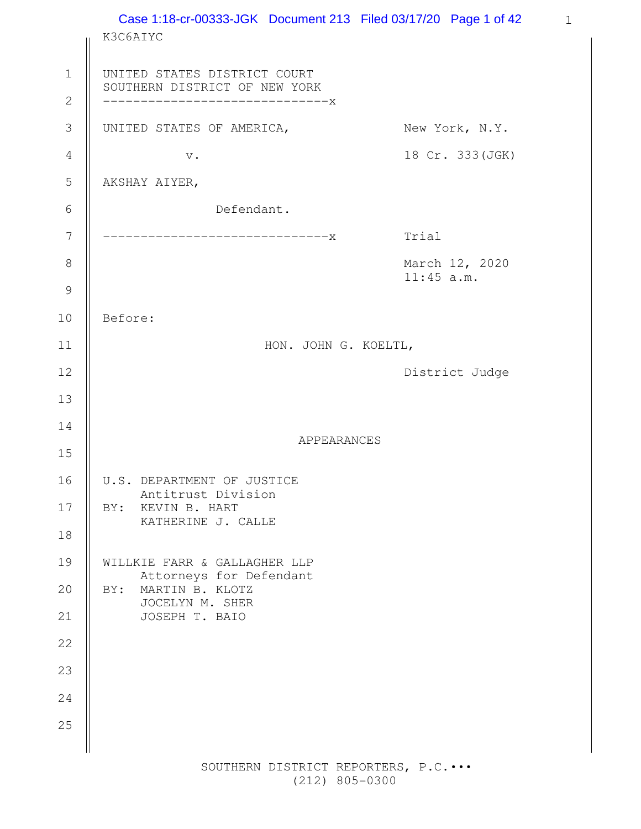1 Case 1:18-cr-00333-JGK Document 213 Filed 03/17/20 Page 1 of 42K3C6AIYC UNITED STATES DISTRICT COURT SOUTHERN DISTRICT OF NEW YORK ------------------------------x UNITED STATES OF AMERICA, New York, N.Y. v. 18 Cr. 333(JGK) AKSHAY AIYER, Defendant. ------------------------------x Trial March 12, 2020 11:45 a.m. Before: HON. JOHN G. KOELTL, District Judge APPEARANCES U.S. DEPARTMENT OF JUSTICE Antitrust Division BY: KEVIN B. HART KATHERINE J. CALLE WILLKIE FARR & GALLAGHER LLP Attorneys for Defendant BY: MARTIN B. KLOTZ JOCELYN M. SHER JOSEPH T. BAIO 1 2 3 4 5 6 7 8 9 10 11 12 13 14 15 16 17 18 19 20 21 22 23 24 25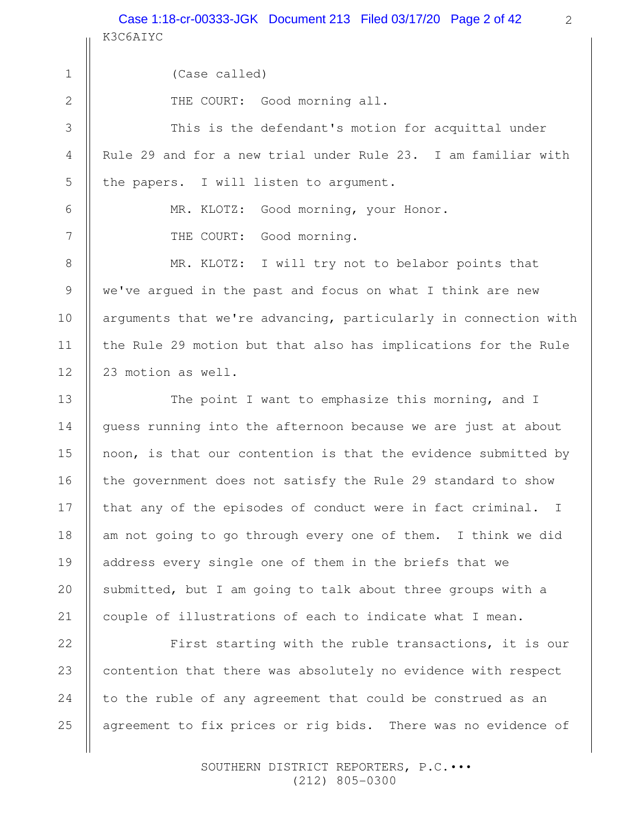K3C6AIYC Case 1:18-cr-00333-JGK Document 213 Filed 03/17/20 Page 2 of 42

2

(Case called) THE COURT: Good morning all. This is the defendant's motion for acquittal under Rule 29 and for a new trial under Rule 23. I am familiar with the papers. I will listen to argument. MR. KLOTZ: Good morning, your Honor. THE COURT: Good morning. MR. KLOTZ: I will try not to belabor points that we've argued in the past and focus on what I think are new arguments that we're advancing, particularly in connection with the Rule 29 motion but that also has implications for the Rule 23 motion as well. The point I want to emphasize this morning, and I guess running into the afternoon because we are just at about noon, is that our contention is that the evidence submitted by the government does not satisfy the Rule 29 standard to show that any of the episodes of conduct were in fact criminal. I am not going to go through every one of them. I think we did address every single one of them in the briefs that we submitted, but I am going to talk about three groups with a couple of illustrations of each to indicate what I mean. First starting with the ruble transactions, it is our contention that there was absolutely no evidence with respect to the ruble of any agreement that could be construed as an 1 2 3 4 5 6 7 8 9 10 11 12 13 14 15 16 17 18 19 20 21 22 23 24

agreement to fix prices or rig bids. There was no evidence of

25

 SOUTHERN DISTRICT REPORTERS, P.C.••• (212) 805-0300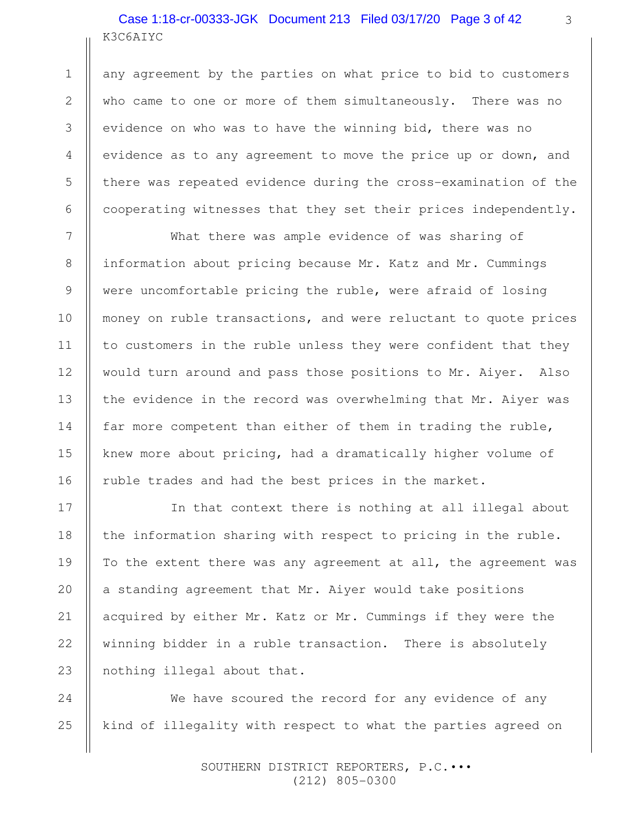# K3C6AIYC Case 1:18-cr-00333-JGK Document 213 Filed 03/17/20 Page 3 of 42

any agreement by the parties on what price to bid to customers who came to one or more of them simultaneously. There was no evidence on who was to have the winning bid, there was no evidence as to any agreement to move the price up or down, and there was repeated evidence during the cross-examination of the cooperating witnesses that they set their prices independently.

What there was ample evidence of was sharing of information about pricing because Mr. Katz and Mr. Cummings were uncomfortable pricing the ruble, were afraid of losing money on ruble transactions, and were reluctant to quote prices to customers in the ruble unless they were confident that they would turn around and pass those positions to Mr. Aiyer. Also the evidence in the record was overwhelming that Mr. Aiyer was far more competent than either of them in trading the ruble, knew more about pricing, had a dramatically higher volume of ruble trades and had the best prices in the market.

In that context there is nothing at all illegal about the information sharing with respect to pricing in the ruble. To the extent there was any agreement at all, the agreement was a standing agreement that Mr. Aiyer would take positions acquired by either Mr. Katz or Mr. Cummings if they were the winning bidder in a ruble transaction. There is absolutely nothing illegal about that.

We have scoured the record for any evidence of any kind of illegality with respect to what the parties agreed on 24 25

> SOUTHERN DISTRICT REPORTERS, P.C.••• (212) 805-0300

1

2

3

4

5

6

7

8

9

10

11

12

13

14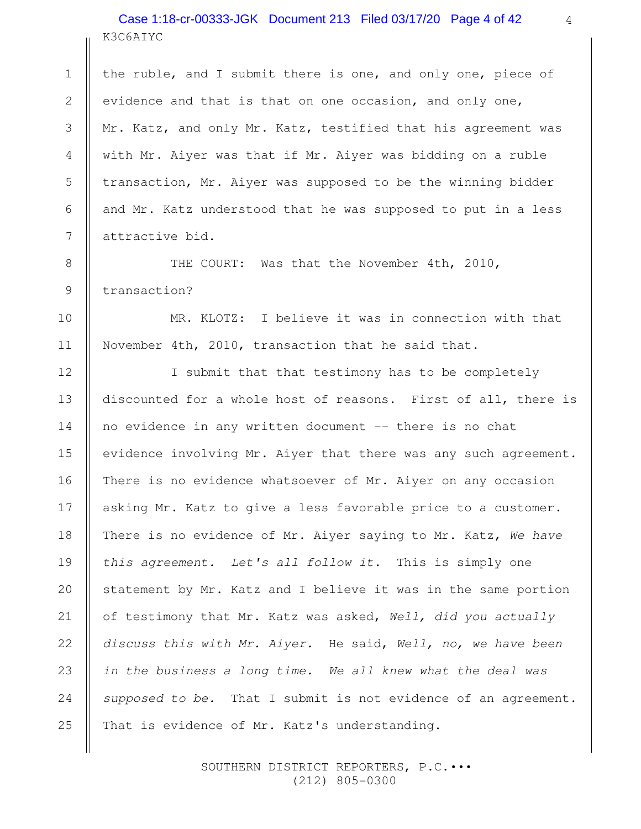# K3C6AIYC Case 1:18-cr-00333-JGK Document 213 Filed 03/17/20 Page 4 of 42

1

2

3

4

5

6

7

8

9

10

11

12

13

14

15

16

18

20

21

22

25

the ruble, and I submit there is one, and only one, piece of evidence and that is that on one occasion, and only one, Mr. Katz, and only Mr. Katz, testified that his agreement was with Mr. Aiyer was that if Mr. Aiyer was bidding on a ruble transaction, Mr. Aiyer was supposed to be the winning bidder and Mr. Katz understood that he was supposed to put in a less attractive bid.

THE COURT: Was that the November 4th, 2010, transaction?

MR. KLOTZ: I believe it was in connection with that November 4th, 2010, transaction that he said that.

I submit that that testimony has to be completely discounted for a whole host of reasons. First of all, there is no evidence in any written document -- there is no chat evidence involving Mr. Aiyer that there was any such agreement. There is no evidence whatsoever of Mr. Aiyer on any occasion asking Mr. Katz to give a less favorable price to a customer. There is no evidence of Mr. Aiyer saying to Mr. Katz, We have this agreement. Let's all follow it. This is simply one statement by Mr. Katz and I believe it was in the same portion of testimony that Mr. Katz was asked, Well, did you actually discuss this with Mr. Aiyer. He said, Well, no, we have been in the business a long time. We all knew what the deal was supposed to be. That I submit is not evidence of an agreement. That is evidence of Mr. Katz's understanding. 17 19 23 24

> SOUTHERN DISTRICT REPORTERS, P.C.••• (212) 805-0300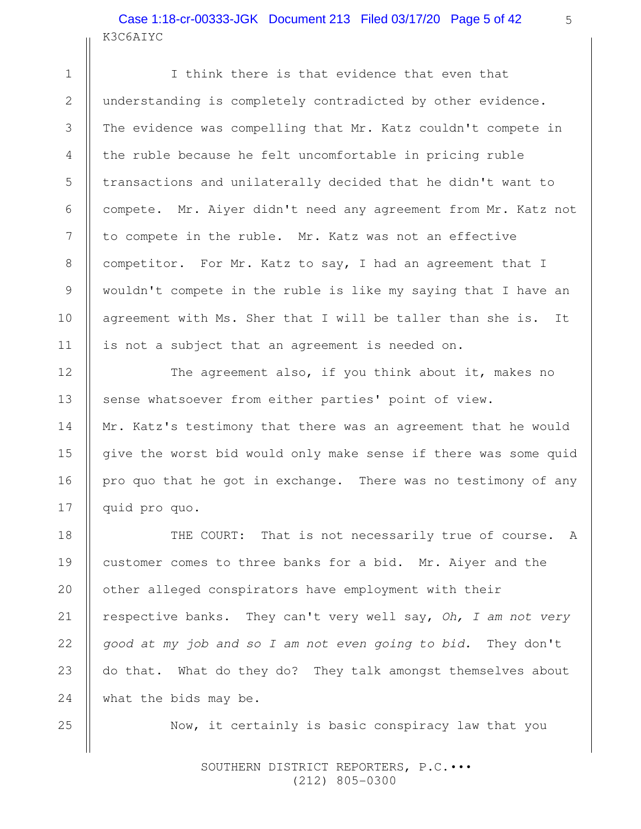# K3C6AIYC Case 1:18-cr-00333-JGK Document 213 Filed 03/17/20 Page 5 of 42

I think there is that evidence that even that understanding is completely contradicted by other evidence. The evidence was compelling that Mr. Katz couldn't compete in the ruble because he felt uncomfortable in pricing ruble transactions and unilaterally decided that he didn't want to compete. Mr. Aiyer didn't need any agreement from Mr. Katz not to compete in the ruble. Mr. Katz was not an effective competitor. For Mr. Katz to say, I had an agreement that I wouldn't compete in the ruble is like my saying that I have an agreement with Ms. Sher that I will be taller than she is. It is not a subject that an agreement is needed on.

The agreement also, if you think about it, makes no sense whatsoever from either parties' point of view. Mr. Katz's testimony that there was an agreement that he would give the worst bid would only make sense if there was some quid pro quo that he got in exchange. There was no testimony of any quid pro quo.

THE COURT: That is not necessarily true of course. A customer comes to three banks for a bid. Mr. Aiyer and the other alleged conspirators have employment with their respective banks. They can't very well say, Oh, I am not very good at my job and so I am not even going to bid. They don't do that. What do they do? They talk amongst themselves about what the bids may be. 24

Now, it certainly is basic conspiracy law that you

 SOUTHERN DISTRICT REPORTERS, P.C.••• (212) 805-0300

1

2

3

4

5

6

7

8

9

10

11

12

13

14

15

16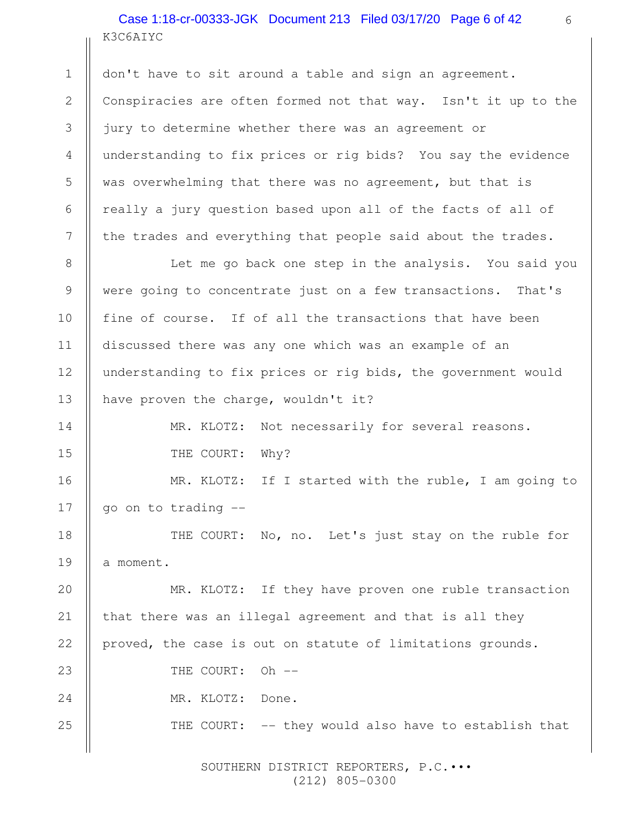K3C6AIYC Case 1:18-cr-00333-JGK Document 213 Filed 03/17/20 Page 6 of 42

1

8

9

10

11

12

13

14

15

18

19

don't have to sit around a table and sign an agreement. Conspiracies are often formed not that way. Isn't it up to the jury to determine whether there was an agreement or understanding to fix prices or rig bids? You say the evidence was overwhelming that there was no agreement, but that is really a jury question based upon all of the facts of all of the trades and everything that people said about the trades. 2 3 4 5 6 7

Let me go back one step in the analysis. You said you were going to concentrate just on a few transactions. That's fine of course. If of all the transactions that have been discussed there was any one which was an example of an understanding to fix prices or rig bids, the government would have proven the charge, wouldn't it?

> MR. KLOTZ: Not necessarily for several reasons. THE COURT: Why?

MR. KLOTZ: If I started with the ruble, I am going to go on to trading -- 16 17

THE COURT: No, no. Let's just stay on the ruble for a moment.

MR. KLOTZ: If they have proven one ruble transaction that there was an illegal agreement and that is all they proved, the case is out on statute of limitations grounds. THE COURT: Oh --MR. KLOTZ: Done. THE COURT: -- they would also have to establish that 20 21 22 23 24 25

> SOUTHERN DISTRICT REPORTERS, P.C.••• (212) 805-0300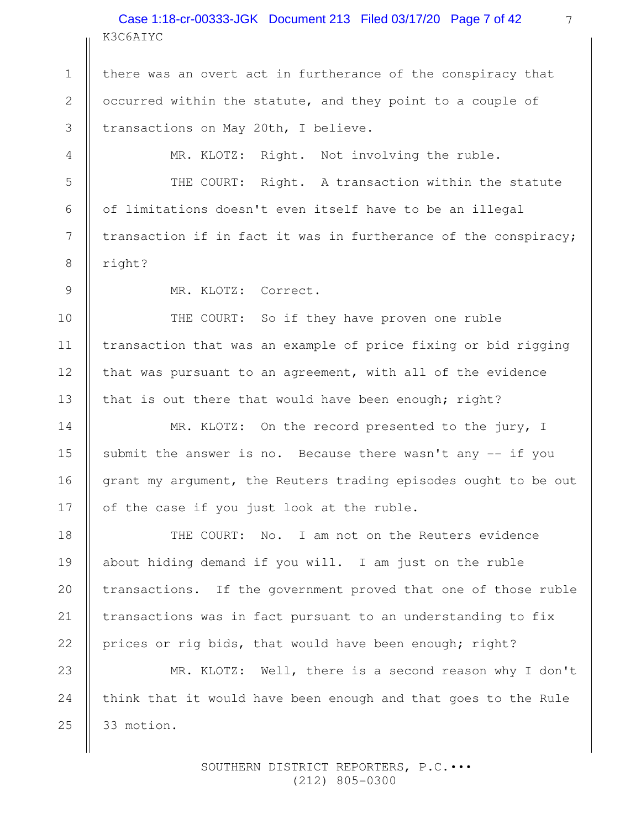K3C6AIYC Case 1:18-cr-00333-JGK Document 213 Filed 03/17/20 Page 7 of 42

there was an overt act in furtherance of the conspiracy that occurred within the statute, and they point to a couple of transactions on May 20th, I believe.

MR. KLOTZ: Right. Not involving the ruble.

THE COURT: Right. A transaction within the statute of limitations doesn't even itself have to be an illegal transaction if in fact it was in furtherance of the conspiracy; right?

MR. KLOTZ: Correct.

1

2

3

4

5

6

7

8

9

10

11

12

13

14

15

16

17

THE COURT: So if they have proven one ruble transaction that was an example of price fixing or bid rigging that was pursuant to an agreement, with all of the evidence that is out there that would have been enough; right?

MR. KLOTZ: On the record presented to the jury, I submit the answer is no. Because there wasn't any  $-$  if you grant my argument, the Reuters trading episodes ought to be out of the case if you just look at the ruble.

THE COURT: No. I am not on the Reuters evidence about hiding demand if you will. I am just on the ruble transactions. If the government proved that one of those ruble transactions was in fact pursuant to an understanding to fix prices or rig bids, that would have been enough; right? 18 19 20 21 22

MR. KLOTZ: Well, there is a second reason why I don't think that it would have been enough and that goes to the Rule 33 motion. 23 24 25

> SOUTHERN DISTRICT REPORTERS, P.C.••• (212) 805-0300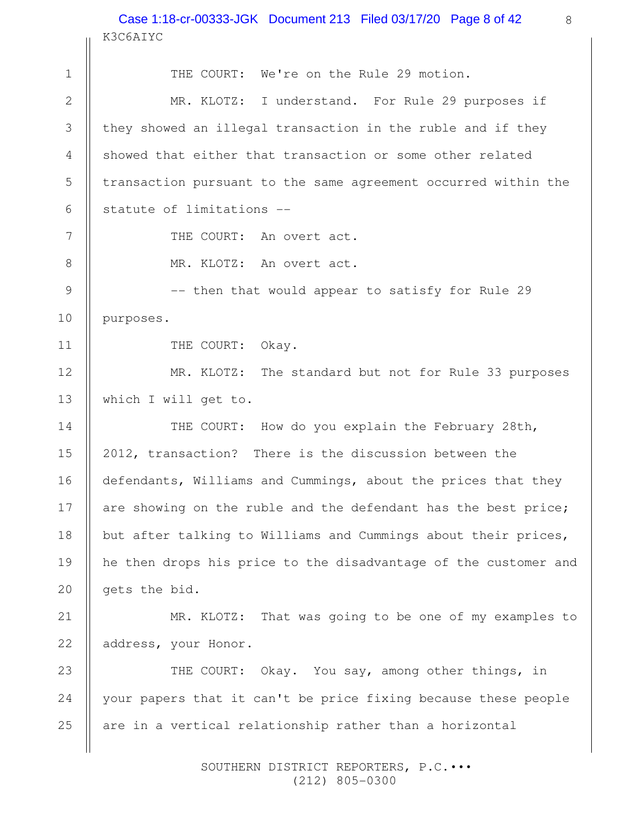#### 8 Case 1:18-cr-00333-JGK Document 213 Filed 03/17/20 Page 8 of 42K3C6AIYC

|               | K3C6AIYC                                                        |
|---------------|-----------------------------------------------------------------|
| $\mathbf 1$   | THE COURT: We're on the Rule 29 motion.                         |
| $\mathbf{2}$  | MR. KLOTZ: I understand. For Rule 29 purposes if                |
| 3             | they showed an illegal transaction in the ruble and if they     |
| 4             | showed that either that transaction or some other related       |
| 5             | transaction pursuant to the same agreement occurred within the  |
| 6             | statute of limitations --                                       |
| 7             | THE COURT: An overt act.                                        |
| 8             | MR. KLOTZ: An overt act.                                        |
| $\mathcal{G}$ | -- then that would appear to satisfy for Rule 29                |
| 10            | purposes.                                                       |
| 11            | THE COURT: Okay.                                                |
| 12            | MR. KLOTZ: The standard but not for Rule 33 purposes            |
| 13            | which I will get to.                                            |
| 14            | THE COURT: How do you explain the February 28th,                |
| 15            | 2012, transaction? There is the discussion between the          |
| 16            | defendants, Williams and Cummings, about the prices that they   |
| 17            | are showing on the ruble and the defendant has the best price;  |
| 18            | but after talking to Williams and Cummings about their prices,  |
| 19            | he then drops his price to the disadvantage of the customer and |
| 20            | gets the bid.                                                   |
| 21            | MR. KLOTZ: That was going to be one of my examples to           |
| 22            | address, your Honor.                                            |
| 23            | THE COURT: Okay. You say, among other things, in                |
| 24            | your papers that it can't be price fixing because these people  |
| 25            | are in a vertical relationship rather than a horizontal         |
|               |                                                                 |

 SOUTHERN DISTRICT REPORTERS, P.C.••• (212) 805-0300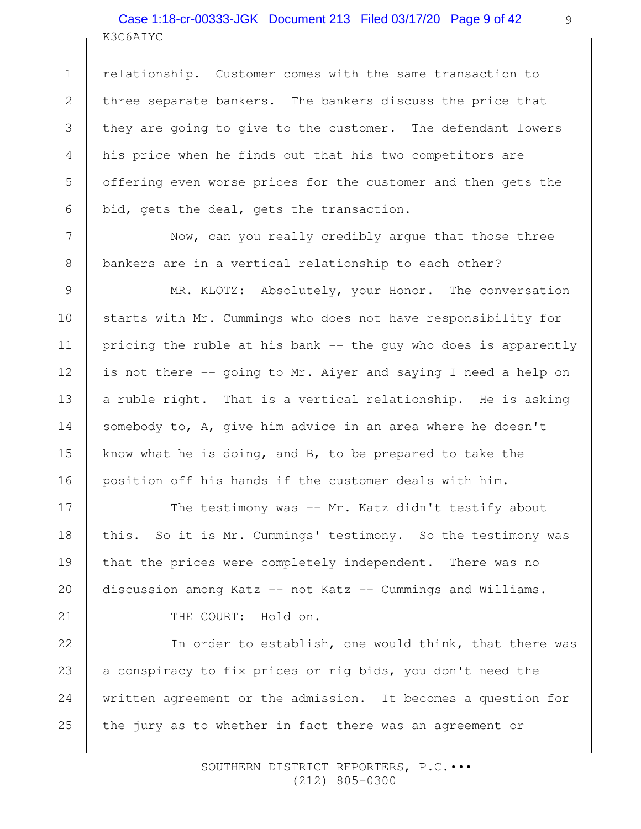# K3C6AIYC Case 1:18-cr-00333-JGK Document 213 Filed 03/17/20 Page 9 of 42

1

2

3

4

5

6

7

8

9

10

11

12

13

14

15

16

17

18

19

20

21

22

25

relationship. Customer comes with the same transaction to three separate bankers. The bankers discuss the price that they are going to give to the customer. The defendant lowers his price when he finds out that his two competitors are offering even worse prices for the customer and then gets the bid, gets the deal, gets the transaction.

Now, can you really credibly argue that those three bankers are in a vertical relationship to each other?

MR. KLOTZ: Absolutely, your Honor. The conversation starts with Mr. Cummings who does not have responsibility for pricing the ruble at his bank -- the guy who does is apparently is not there -- going to Mr. Aiyer and saying I need a help on a ruble right. That is a vertical relationship. He is asking somebody to, A, give him advice in an area where he doesn't know what he is doing, and B, to be prepared to take the position off his hands if the customer deals with him.

The testimony was -- Mr. Katz didn't testify about this. So it is Mr. Cummings' testimony. So the testimony was that the prices were completely independent. There was no discussion among Katz -- not Katz -- Cummings and Williams.

THE COURT: Hold on.

In order to establish, one would think, that there was a conspiracy to fix prices or rig bids, you don't need the written agreement or the admission. It becomes a question for the jury as to whether in fact there was an agreement or 23 24

> SOUTHERN DISTRICT REPORTERS, P.C.••• (212) 805-0300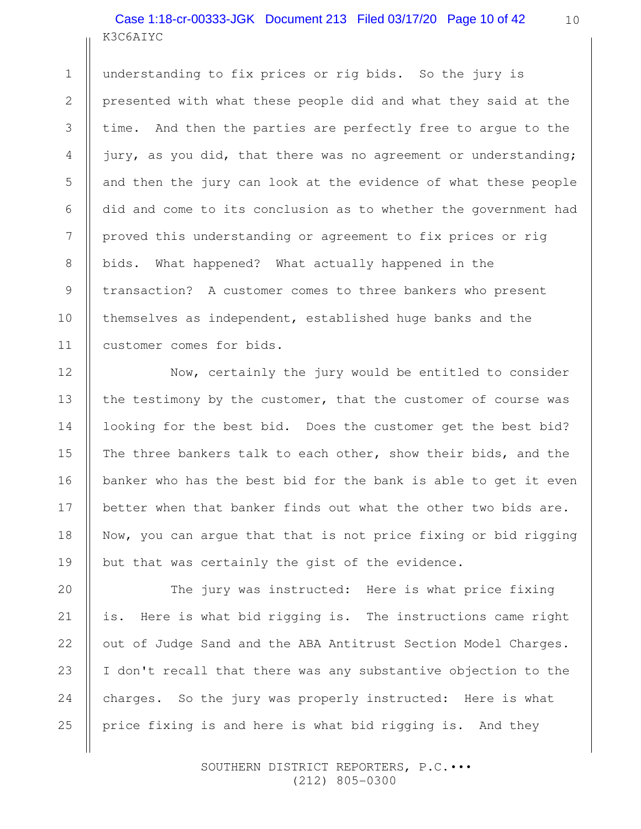# K3C6AIYC Case 1:18-cr-00333-JGK Document 213 Filed 03/17/20 Page 10 of 42

1

2

3

4

5

6

7

8

9

10

11

12

13

14

15

16

17

18

19

20

21

22

23

24

25

understanding to fix prices or rig bids. So the jury is presented with what these people did and what they said at the time. And then the parties are perfectly free to argue to the jury, as you did, that there was no agreement or understanding; and then the jury can look at the evidence of what these people did and come to its conclusion as to whether the government had proved this understanding or agreement to fix prices or rig bids. What happened? What actually happened in the transaction? A customer comes to three bankers who present themselves as independent, established huge banks and the customer comes for bids.

Now, certainly the jury would be entitled to consider the testimony by the customer, that the customer of course was looking for the best bid. Does the customer get the best bid? The three bankers talk to each other, show their bids, and the banker who has the best bid for the bank is able to get it even better when that banker finds out what the other two bids are. Now, you can argue that that is not price fixing or bid rigging but that was certainly the gist of the evidence.

The jury was instructed: Here is what price fixing is. Here is what bid rigging is. The instructions came right out of Judge Sand and the ABA Antitrust Section Model Charges. I don't recall that there was any substantive objection to the charges. So the jury was properly instructed: Here is what price fixing is and here is what bid rigging is. And they

> SOUTHERN DISTRICT REPORTERS, P.C.••• (212) 805-0300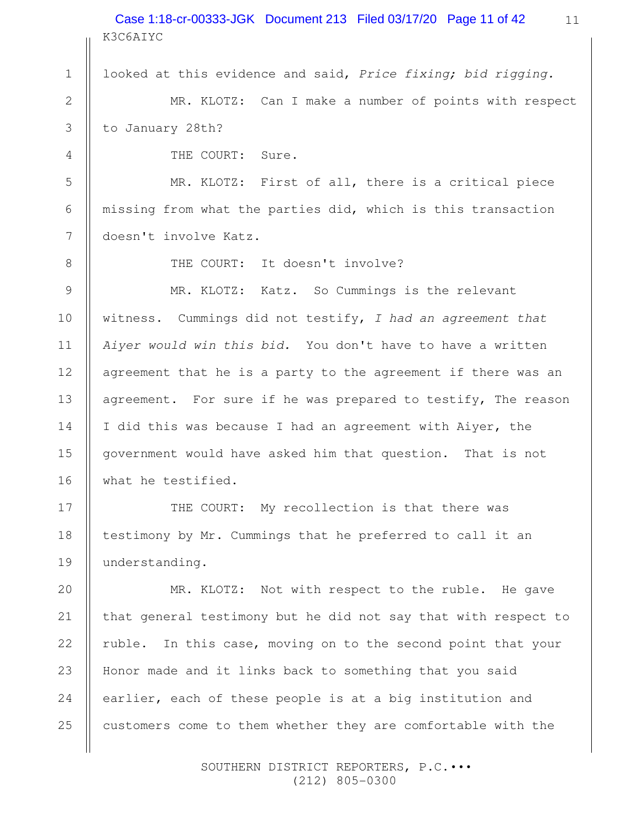K3C6AIYC Case 1:18-cr-00333-JGK Document 213 Filed 03/17/20 Page 11 of 42

looked at this evidence and said, Price fixing; bid rigging.

MR. KLOTZ: Can I make a number of points with respect to January 28th?

THE COURT: Sure.

MR. KLOTZ: First of all, there is a critical piece missing from what the parties did, which is this transaction doesn't involve Katz.

1

2

3

4

5

6

7

8

9

10

11

12

13

14

15

16

17

18

19

THE COURT: It doesn't involve?

MR. KLOTZ: Katz. So Cummings is the relevant witness. Cummings did not testify,  $I$  had an agreement that Aiyer would win this bid. You don't have to have a written agreement that he is a party to the agreement if there was an agreement. For sure if he was prepared to testify, The reason I did this was because I had an agreement with Aiyer, the government would have asked him that question. That is not what he testified.

THE COURT: My recollection is that there was testimony by Mr. Cummings that he preferred to call it an understanding.

MR. KLOTZ: Not with respect to the ruble. He gave that general testimony but he did not say that with respect to ruble. In this case, moving on to the second point that your Honor made and it links back to something that you said earlier, each of these people is at a big institution and customers come to them whether they are comfortable with the 20 21 22 23 24 25

> SOUTHERN DISTRICT REPORTERS, P.C.••• (212) 805-0300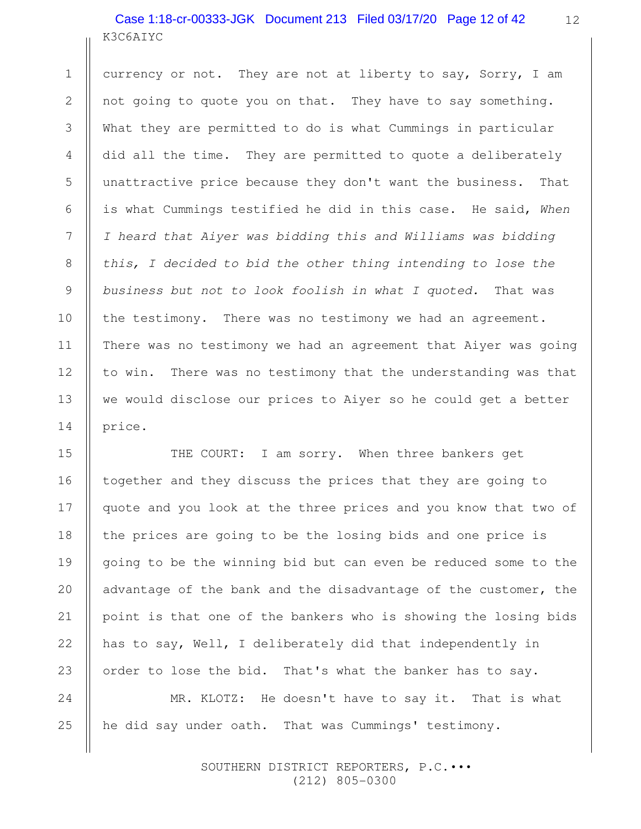# K3C6AIYC Case 1:18-cr-00333-JGK Document 213 Filed 03/17/20 Page 12 of 42

currency or not. They are not at liberty to say, Sorry, I am not going to quote you on that. They have to say something. What they are permitted to do is what Cummings in particular did all the time. They are permitted to quote a deliberately unattractive price because they don't want the business. That is what Cummings testified he did in this case. He said, When I heard that Aiyer was bidding this and Williams was bidding this, I decided to bid the other thing intending to lose the business but not to look foolish in what I quoted. That was the testimony. There was no testimony we had an agreement. There was no testimony we had an agreement that Aiyer was going to win. There was no testimony that the understanding was that we would disclose our prices to Aiyer so he could get a better price.

THE COURT: I am sorry. When three bankers get together and they discuss the prices that they are going to quote and you look at the three prices and you know that two of the prices are going to be the losing bids and one price is going to be the winning bid but can even be reduced some to the advantage of the bank and the disadvantage of the customer, the point is that one of the bankers who is showing the losing bids has to say, Well, I deliberately did that independently in order to lose the bid. That's what the banker has to say.

MR. KLOTZ: He doesn't have to say it. That is what he did say under oath. That was Cummings' testimony. 24 25

> SOUTHERN DISTRICT REPORTERS, P.C.••• (212) 805-0300

1

2

3

4

5

6

7

8

9

10

11

12

13

14

15

16

17

18

19

20

21

22

23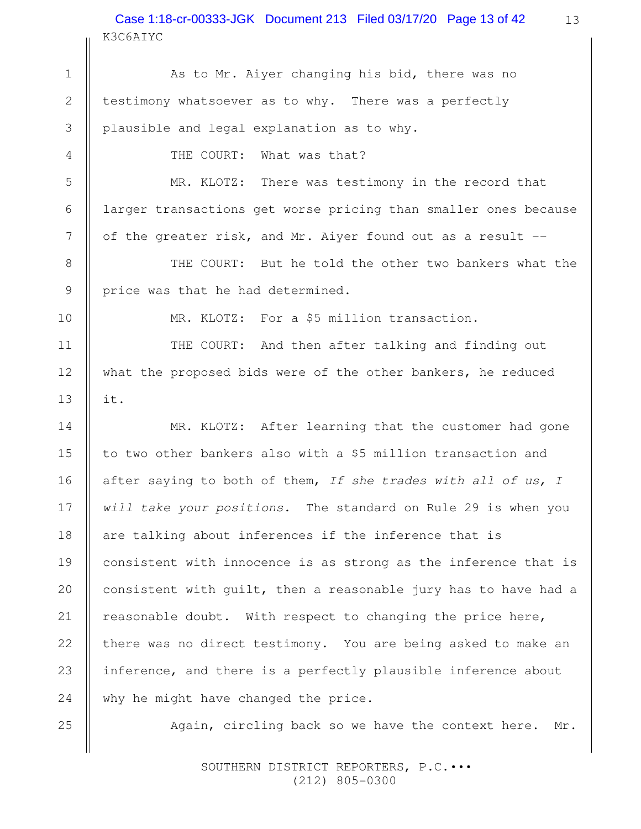K3C6AIYC Case 1:18-cr-00333-JGK Document 213 Filed 03/17/20 Page 13 of 42 13

As to Mr. Aiyer changing his bid, there was no testimony whatsoever as to why. There was a perfectly plausible and legal explanation as to why. 2 3

THE COURT: What was that?

MR. KLOTZ: There was testimony in the record that larger transactions get worse pricing than smaller ones because of the greater risk, and Mr. Aiyer found out as a result --

THE COURT: But he told the other two bankers what the price was that he had determined.

1

MR. KLOTZ: For a \$5 million transaction.

THE COURT: And then after talking and finding out what the proposed bids were of the other bankers, he reduced it.

MR. KLOTZ: After learning that the customer had gone to two other bankers also with a \$5 million transaction and after saying to both of them, If she trades with all of us, I will take your positions. The standard on Rule 29 is when you are talking about inferences if the inference that is consistent with innocence is as strong as the inference that is consistent with guilt, then a reasonable jury has to have had a reasonable doubt. With respect to changing the price here, there was no direct testimony. You are being asked to make an inference, and there is a perfectly plausible inference about why he might have changed the price.

Again, circling back so we have the context here. Mr.

 SOUTHERN DISTRICT REPORTERS, P.C.••• (212) 805-0300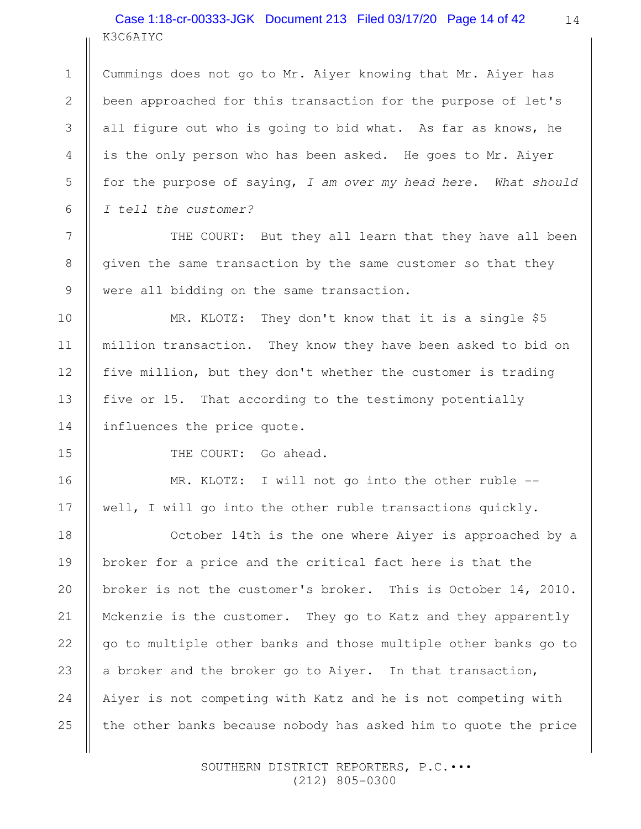# K3C6AIYC Case 1:18-cr-00333-JGK Document 213 Filed 03/17/20 Page 14 of 42

Cummings does not go to Mr. Aiyer knowing that Mr. Aiyer has been approached for this transaction for the purpose of let's all figure out who is going to bid what. As far as knows, he is the only person who has been asked. He goes to Mr. Aiyer for the purpose of saying, I am over my head here. What should I tell the customer?

THE COURT: But they all learn that they have all been given the same transaction by the same customer so that they were all bidding on the same transaction.

MR. KLOTZ: They don't know that it is a single \$5 million transaction. They know they have been asked to bid on five million, but they don't whether the customer is trading five or 15. That according to the testimony potentially influences the price quote.

1

2

3

4

5

6

7

8

9

10

11

12

13

14

15

16

17

THE COURT: Go ahead.

MR. KLOTZ: I will not go into the other ruble -well, I will go into the other ruble transactions quickly.

October 14th is the one where Aiyer is approached by a broker for a price and the critical fact here is that the broker is not the customer's broker. This is October 14, 2010. Mckenzie is the customer. They go to Katz and they apparently go to multiple other banks and those multiple other banks go to a broker and the broker go to Aiyer. In that transaction, Aiyer is not competing with Katz and he is not competing with the other banks because nobody has asked him to quote the price 18 19 20 21 22 23 24 25

> SOUTHERN DISTRICT REPORTERS, P.C.••• (212) 805-0300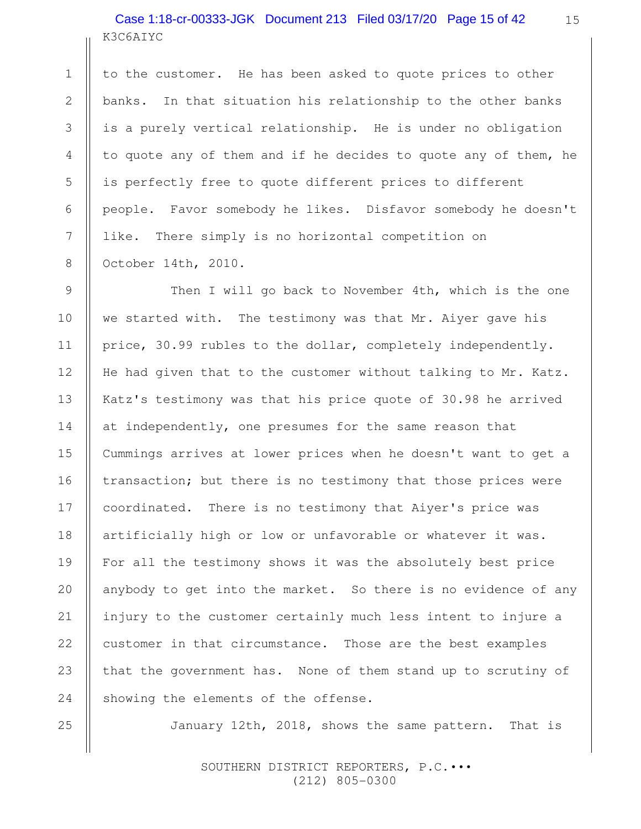# K3C6AIYC Case 1:18-cr-00333-JGK Document 213 Filed 03/17/20 Page 15 of 42

to the customer. He has been asked to quote prices to other banks. In that situation his relationship to the other banks is a purely vertical relationship. He is under no obligation to quote any of them and if he decides to quote any of them, he is perfectly free to quote different prices to different people. Favor somebody he likes. Disfavor somebody he doesn't like. There simply is no horizontal competition on October 14th, 2010.

Then I will go back to November 4th, which is the one we started with. The testimony was that Mr. Aiyer gave his price, 30.99 rubles to the dollar, completely independently. He had given that to the customer without talking to Mr. Katz. Katz's testimony was that his price quote of 30.98 he arrived at independently, one presumes for the same reason that Cummings arrives at lower prices when he doesn't want to get a transaction; but there is no testimony that those prices were coordinated. There is no testimony that Aiyer's price was artificially high or low or unfavorable or whatever it was. For all the testimony shows it was the absolutely best price anybody to get into the market. So there is no evidence of any injury to the customer certainly much less intent to injure a customer in that circumstance. Those are the best examples that the government has. None of them stand up to scrutiny of showing the elements of the offense.

January 12th, 2018, shows the same pattern. That is

 SOUTHERN DISTRICT REPORTERS, P.C.••• (212) 805-0300

25

1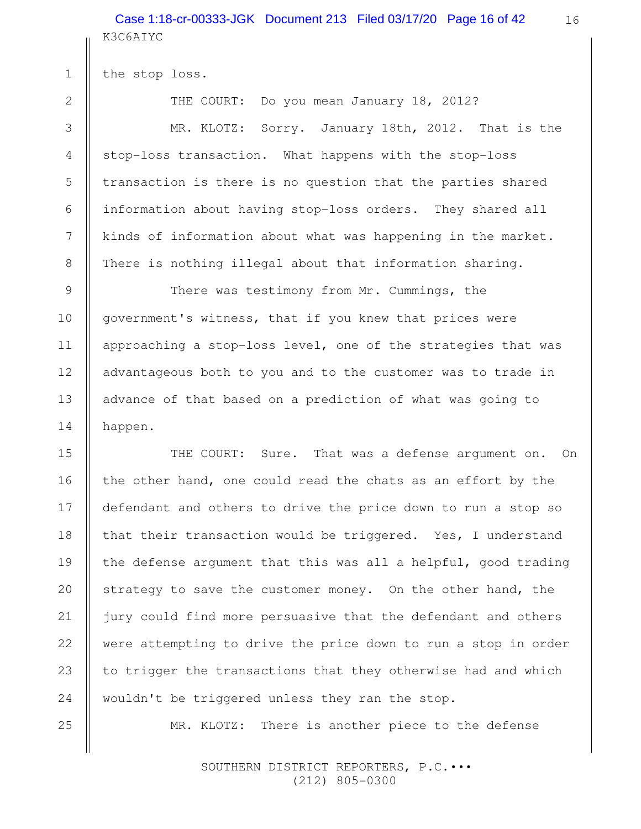K3C6AIYC Case 1:18-cr-00333-JGK Document 213 Filed 03/17/20 Page 16 of 42

the stop loss.

THE COURT: Do you mean January 18, 2012?

MR. KLOTZ: Sorry. January 18th, 2012. That is the stop-loss transaction. What happens with the stop-loss transaction is there is no question that the parties shared information about having stop-loss orders. They shared all kinds of information about what was happening in the market. There is nothing illegal about that information sharing.

There was testimony from Mr. Cummings, the government's witness, that if you knew that prices were approaching a stop-loss level, one of the strategies that was advantageous both to you and to the customer was to trade in advance of that based on a prediction of what was going to happen.

THE COURT: Sure. That was a defense argument on. On the other hand, one could read the chats as an effort by the defendant and others to drive the price down to run a stop so that their transaction would be triggered. Yes, I understand the defense argument that this was all a helpful, good trading strategy to save the customer money. On the other hand, the jury could find more persuasive that the defendant and others were attempting to drive the price down to run a stop in order to trigger the transactions that they otherwise had and which wouldn't be triggered unless they ran the stop.

MR. KLOTZ: There is another piece to the defense

 SOUTHERN DISTRICT REPORTERS, P.C.••• (212) 805-0300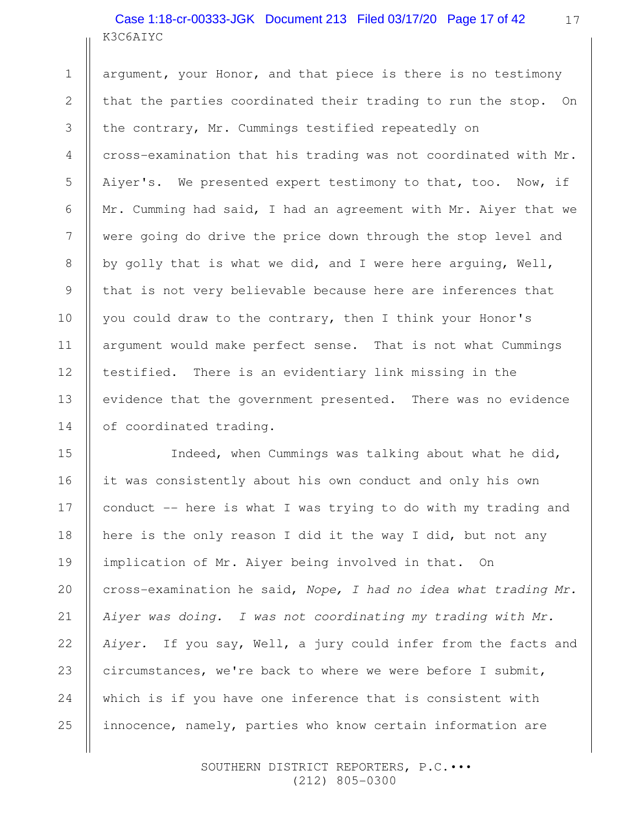# K3C6AIYC Case 1:18-cr-00333-JGK Document 213 Filed 03/17/20 Page 17 of 42

1

2

3

4

5

6

7

8

9

10

11

12

13

14

17

argument, your Honor, and that piece is there is no testimony that the parties coordinated their trading to run the stop. On the contrary, Mr. Cummings testified repeatedly on cross-examination that his trading was not coordinated with Mr. Aiyer's. We presented expert testimony to that, too. Now, if Mr. Cumming had said, I had an agreement with Mr. Aiyer that we were going do drive the price down through the stop level and by golly that is what we did, and I were here arguing, Well, that is not very believable because here are inferences that you could draw to the contrary, then I think your Honor's argument would make perfect sense. That is not what Cummings testified. There is an evidentiary link missing in the evidence that the government presented. There was no evidence of coordinated trading.

Indeed, when Cummings was talking about what he did, it was consistently about his own conduct and only his own conduct -- here is what I was trying to do with my trading and here is the only reason I did it the way I did, but not any implication of Mr. Aiyer being involved in that. On cross-examination he said, Nope, I had no idea what trading Mr. Aiyer was doing. I was not coordinating my trading with Mr. Aiyer. If you say, Well, a jury could infer from the facts and circumstances, we're back to where we were before I submit, which is if you have one inference that is consistent with innocence, namely, parties who know certain information are 15 16 17 18 19 20 21 22 23 24 25

> SOUTHERN DISTRICT REPORTERS, P.C.••• (212) 805-0300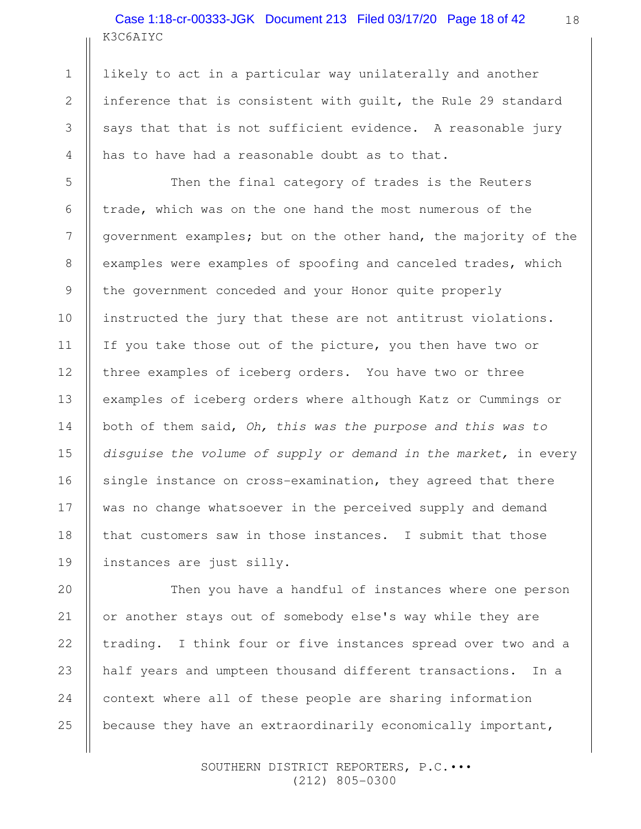# K3C6AIYC Case 1:18-cr-00333-JGK Document 213 Filed 03/17/20 Page 18 of 42

1

2

3

4

5

6

7

8

9

10

11

12

13

14

15

16

17

18

19

likely to act in a particular way unilaterally and another inference that is consistent with guilt, the Rule 29 standard says that that is not sufficient evidence. A reasonable jury has to have had a reasonable doubt as to that.

Then the final category of trades is the Reuters trade, which was on the one hand the most numerous of the government examples; but on the other hand, the majority of the examples were examples of spoofing and canceled trades, which the government conceded and your Honor quite properly instructed the jury that these are not antitrust violations. If you take those out of the picture, you then have two or three examples of iceberg orders. You have two or three examples of iceberg orders where although Katz or Cummings or both of them said, Oh, this was the purpose and this was to disguise the volume of supply or demand in the market, in every single instance on cross-examination, they agreed that there was no change whatsoever in the perceived supply and demand that customers saw in those instances. I submit that those instances are just silly.

Then you have a handful of instances where one person or another stays out of somebody else's way while they are trading. I think four or five instances spread over two and a half years and umpteen thousand different transactions. In a context where all of these people are sharing information because they have an extraordinarily economically important, 20 21 22 23 24 25

> SOUTHERN DISTRICT REPORTERS, P.C.••• (212) 805-0300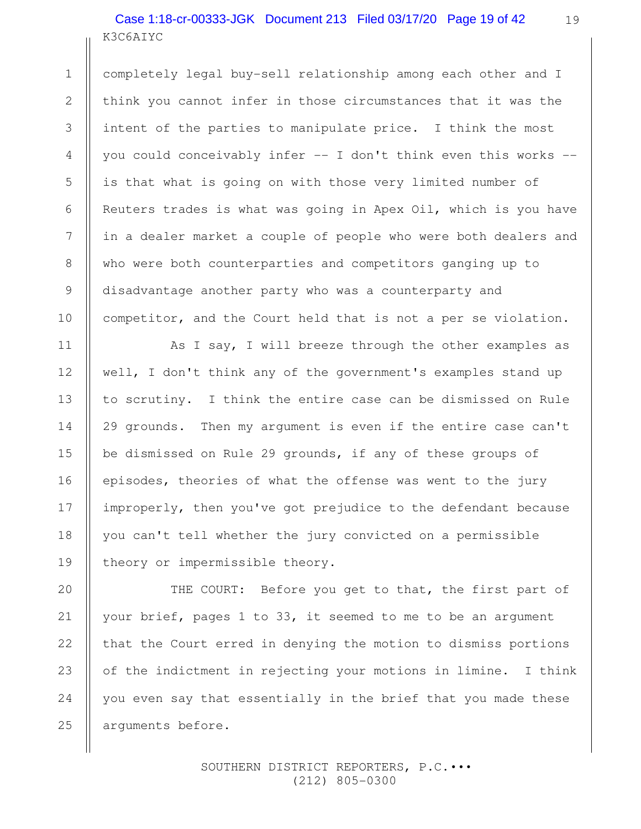# K3C6AIYC Case 1:18-cr-00333-JGK Document 213 Filed 03/17/20 Page 19 of 42

completely legal buy-sell relationship among each other and I think you cannot infer in those circumstances that it was the intent of the parties to manipulate price. I think the most you could conceivably infer -- I don't think even this works - is that what is going on with those very limited number of Reuters trades is what was going in Apex Oil, which is you have in a dealer market a couple of people who were both dealers and who were both counterparties and competitors ganging up to disadvantage another party who was a counterparty and competitor, and the Court held that is not a per se violation.

As I say, I will breeze through the other examples as well, I don't think any of the government's examples stand up to scrutiny. I think the entire case can be dismissed on Rule 29 grounds. Then my argument is even if the entire case can't be dismissed on Rule 29 grounds, if any of these groups of episodes, theories of what the offense was went to the jury improperly, then you've got prejudice to the defendant because you can't tell whether the jury convicted on a permissible theory or impermissible theory.

THE COURT: Before you get to that, the first part of your brief, pages 1 to 33, it seemed to me to be an argument that the Court erred in denying the motion to dismiss portions of the indictment in rejecting your motions in limine. I think you even say that essentially in the brief that you made these arguments before.

> SOUTHERN DISTRICT REPORTERS, P.C.••• (212) 805-0300

24

25

1

2

3

4

5

6

7

8

9

10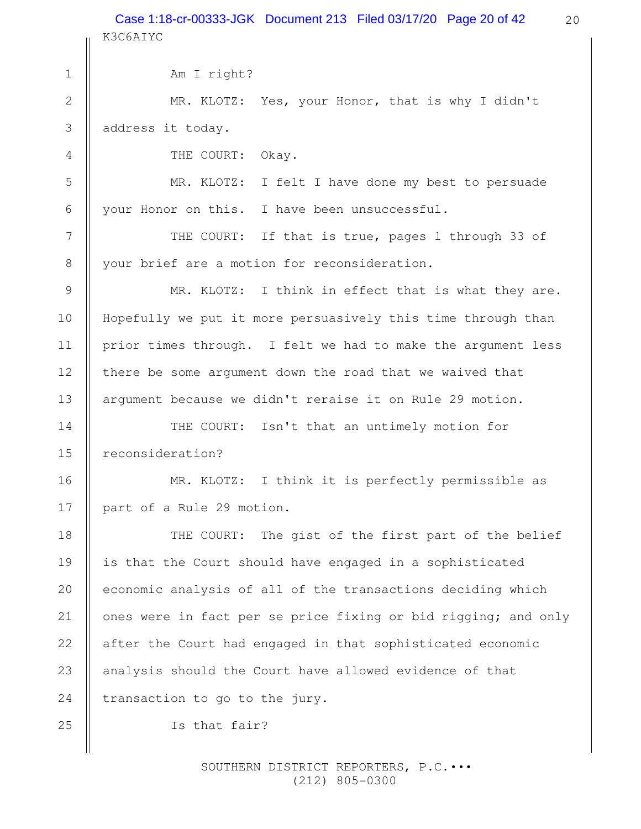Case 1:18-cr-00333-JGK Document 213 Filed 03/17/20 Page 20 of 42

K3C6AIYC

20

Am I right? MR. KLOTZ: Yes, your Honor, that is why I didn't address it today. THE COURT: Okay. MR. KLOTZ: I felt I have done my best to persuade your Honor on this. I have been unsuccessful. THE COURT: If that is true, pages 1 through 33 of your brief are a motion for reconsideration. MR. KLOTZ: I think in effect that is what they are. Hopefully we put it more persuasively this time through than prior times through. I felt we had to make the argument less there be some argument down the road that we waived that argument because we didn't reraise it on Rule 29 motion. THE COURT: Isn't that an untimely motion for reconsideration? MR. KLOTZ: I think it is perfectly permissible as part of a Rule 29 motion. THE COURT: The gist of the first part of the belief is that the Court should have engaged in a sophisticated economic analysis of all of the transactions deciding which ones were in fact per se price fixing or bid rigging; and only after the Court had engaged in that sophisticated economic analysis should the Court have allowed evidence of that transaction to go to the jury. Is that fair? 1 2 3 4 5 6 7 8 9 10 11 12 13 14 15 16 17 18 19 20 21 22 23 24 25

> SOUTHERN DISTRICT REPORTERS, P.C.••• (212) 805-0300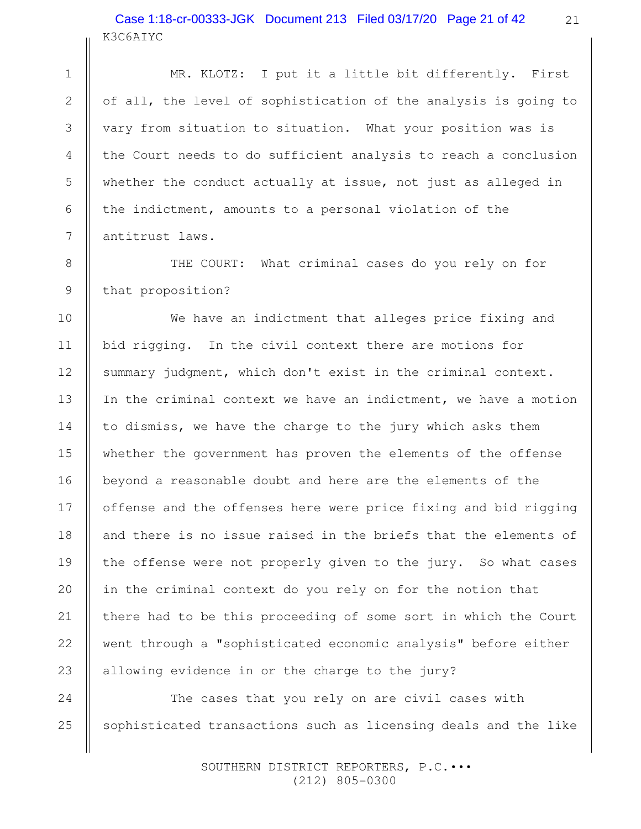## K3C6AIYC Case 1:18-cr-00333-JGK Document 213 Filed 03/17/20 Page 21 of 42

MR. KLOTZ: I put it a little bit differently. First of all, the level of sophistication of the analysis is going to vary from situation to situation. What your position was is the Court needs to do sufficient analysis to reach a conclusion whether the conduct actually at issue, not just as alleged in the indictment, amounts to a personal violation of the antitrust laws.

THE COURT: What criminal cases do you rely on for that proposition?

We have an indictment that alleges price fixing and bid rigging. In the civil context there are motions for summary judgment, which don't exist in the criminal context. In the criminal context we have an indictment, we have a motion to dismiss, we have the charge to the jury which asks them whether the government has proven the elements of the offense beyond a reasonable doubt and here are the elements of the offense and the offenses here were price fixing and bid rigging and there is no issue raised in the briefs that the elements of the offense were not properly given to the jury. So what cases in the criminal context do you rely on for the notion that there had to be this proceeding of some sort in which the Court went through a "sophisticated economic analysis" before either allowing evidence in or the charge to the jury?

The cases that you rely on are civil cases with sophisticated transactions such as licensing deals and the like 25

> SOUTHERN DISTRICT REPORTERS, P.C.••• (212) 805-0300

24

1

2

3

4

5

6

7

8

9

10

11

12

13

14

15

16

17

18

19

20

21

22

23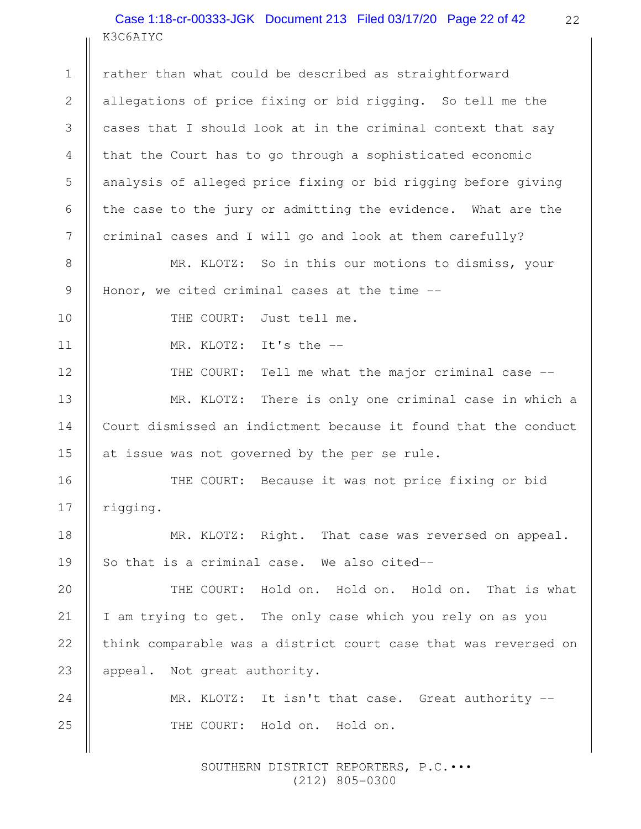K3C6AIYC Case 1:18-cr-00333-JGK Document 213 Filed 03/17/20 Page 22 of 42

rather than what could be described as straightforward allegations of price fixing or bid rigging. So tell me the cases that I should look at in the criminal context that say that the Court has to go through a sophisticated economic analysis of alleged price fixing or bid rigging before giving the case to the jury or admitting the evidence. What are the criminal cases and I will go and look at them carefully? MR. KLOTZ: So in this our motions to dismiss, your Honor, we cited criminal cases at the time -- THE COURT: Just tell me. MR. KLOTZ: It's the -- THE COURT: Tell me what the major criminal case --MR. KLOTZ: There is only one criminal case in which a Court dismissed an indictment because it found that the conduct at issue was not governed by the per se rule. THE COURT: Because it was not price fixing or bid rigging. MR. KLOTZ: Right. That case was reversed on appeal. So that is a criminal case. We also cited-- THE COURT: Hold on. Hold on. Hold on. That is what I am trying to get. The only case which you rely on as you think comparable was a district court case that was reversed on appeal. Not great authority. MR. KLOTZ: It isn't that case. Great authority --THE COURT: Hold on. Hold on. 1 2 3 4 5 6 7 8 9 10 11 12 13 14 15 16 17 18 19 20 21 22 23 24 25

> SOUTHERN DISTRICT REPORTERS, P.C.••• (212) 805-0300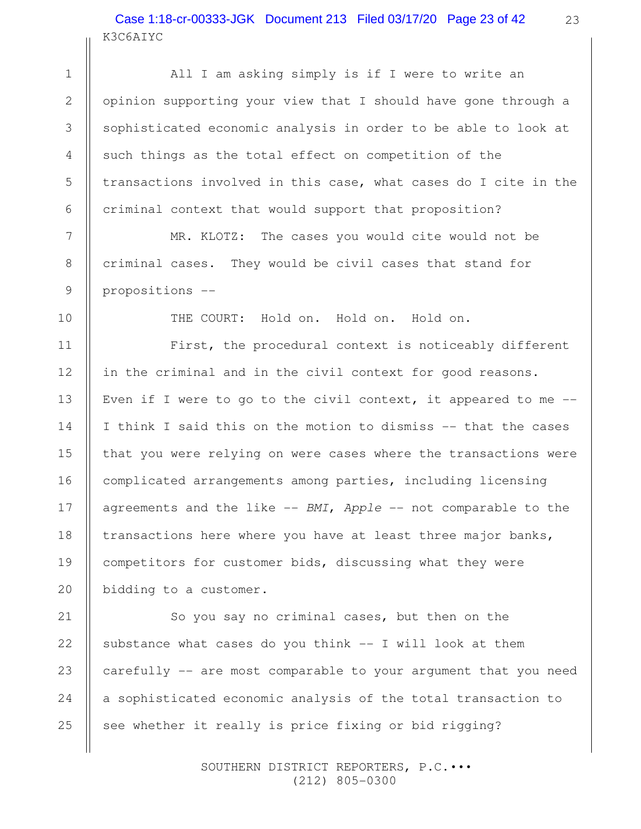# K3C6AIYC Case 1:18-cr-00333-JGK Document 213 Filed 03/17/20 Page 23 of 42

All I am asking simply is if I were to write an opinion supporting your view that I should have gone through a sophisticated economic analysis in order to be able to look at such things as the total effect on competition of the transactions involved in this case, what cases do I cite in the criminal context that would support that proposition?

MR. KLOTZ: The cases you would cite would not be criminal cases. They would be civil cases that stand for propositions --

THE COURT: Hold on. Hold on. Hold on.

First, the procedural context is noticeably different in the criminal and in the civil context for good reasons. Even if I were to go to the civil context, it appeared to me  $-$ I think I said this on the motion to dismiss -- that the cases that you were relying on were cases where the transactions were complicated arrangements among parties, including licensing agreements and the like  $--$  BMI, Apple  $--$  not comparable to the transactions here where you have at least three major banks, competitors for customer bids, discussing what they were bidding to a customer.

So you say no criminal cases, but then on the substance what cases do you think  $--$  I will look at them carefully -- are most comparable to your argument that you need a sophisticated economic analysis of the total transaction to see whether it really is price fixing or bid rigging? 21 22 23 24 25

> SOUTHERN DISTRICT REPORTERS, P.C.••• (212) 805-0300

1

2

3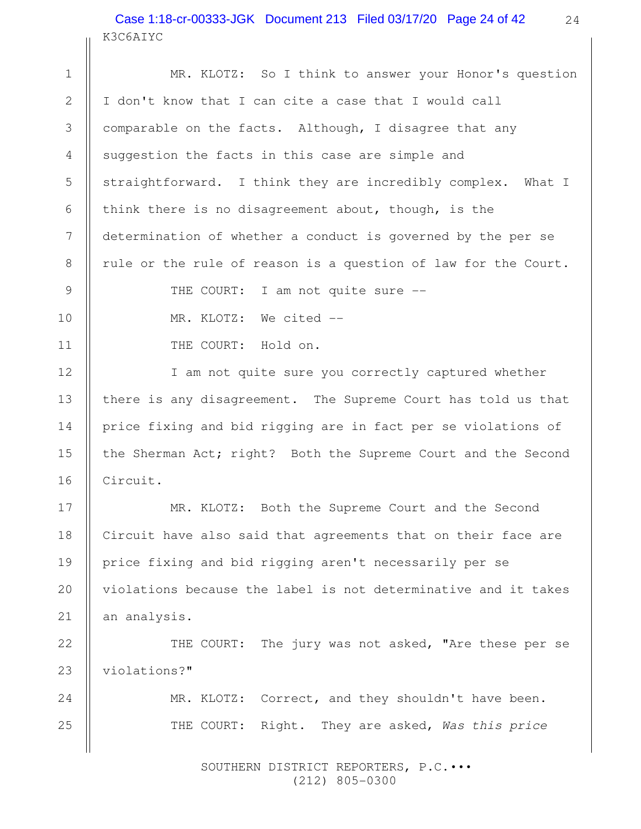#### K3C6AIYC Case 1:18-cr-00333-JGK Document 213 Filed 03/17/20 Page 24 of 42

MR. KLOTZ: So I think to answer your Honor's question I don't know that I can cite a case that I would call comparable on the facts. Although, I disagree that any suggestion the facts in this case are simple and straightforward. I think they are incredibly complex. What I think there is no disagreement about, though, is the determination of whether a conduct is governed by the per se rule or the rule of reason is a question of law for the Court. THE COURT: I am not quite sure --MR. KLOTZ: We cited -- THE COURT: Hold on. I am not quite sure you correctly captured whether there is any disagreement. The Supreme Court has told us that price fixing and bid rigging are in fact per se violations of the Sherman Act; right? Both the Supreme Court and the Second Circuit. MR. KLOTZ: Both the Supreme Court and the Second Circuit have also said that agreements that on their face are price fixing and bid rigging aren't necessarily per se violations because the label is not determinative and it takes an analysis. THE COURT: The jury was not asked, "Are these per se violations?" MR. KLOTZ: Correct, and they shouldn't have been. THE COURT: Right. They are asked, Was this price 1 2 3 4 5 6 7 8 9 10 11 12 13 14 15 16 17 18 19 20 21 22 23 24 25

> SOUTHERN DISTRICT REPORTERS, P.C.••• (212) 805-0300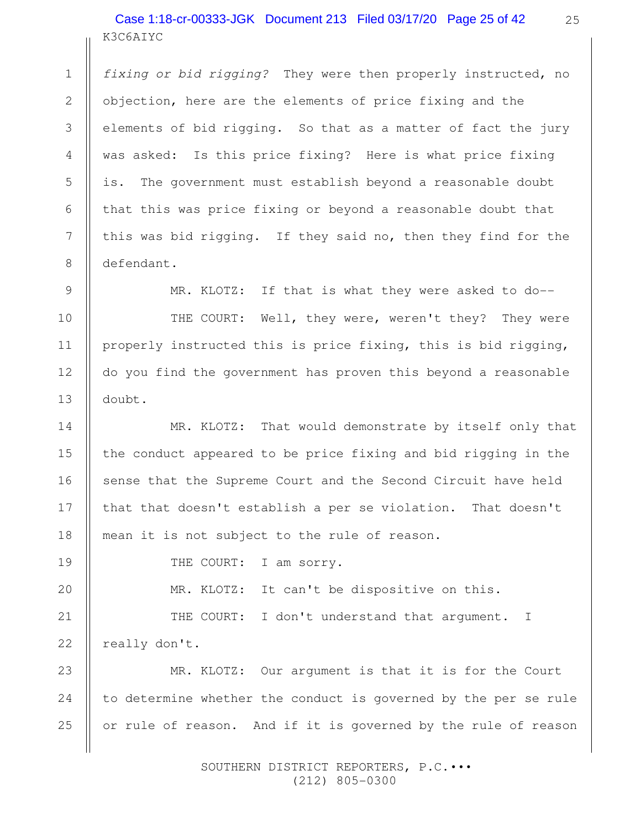K3C6AIYC Case 1:18-cr-00333-JGK Document 213 Filed 03/17/20 Page 25 of 42

fixing or bid rigging? They were then properly instructed, no objection, here are the elements of price fixing and the elements of bid rigging. So that as a matter of fact the jury was asked: Is this price fixing? Here is what price fixing is. The government must establish beyond a reasonable doubt that this was price fixing or beyond a reasonable doubt that this was bid rigging. If they said no, then they find for the defendant.

MR. KLOTZ: If that is what they were asked to do--

THE COURT: Well, they were, weren't they? They were properly instructed this is price fixing, this is bid rigging, do you find the government has proven this beyond a reasonable doubt.

MR. KLOTZ: That would demonstrate by itself only that the conduct appeared to be price fixing and bid rigging in the sense that the Supreme Court and the Second Circuit have held that that doesn't establish a per se violation. That doesn't mean it is not subject to the rule of reason.

1

2

3

4

5

6

7

8

9

10

11

12

13

14

15

16

17

18

19

20

THE COURT: I am sorry.

MR. KLOTZ: It can't be dispositive on this.

THE COURT: I don't understand that argument. I really don't. 21 22

MR. KLOTZ: Our argument is that it is for the Court to determine whether the conduct is governed by the per se rule or rule of reason. And if it is governed by the rule of reason 23 24 25

> SOUTHERN DISTRICT REPORTERS, P.C.••• (212) 805-0300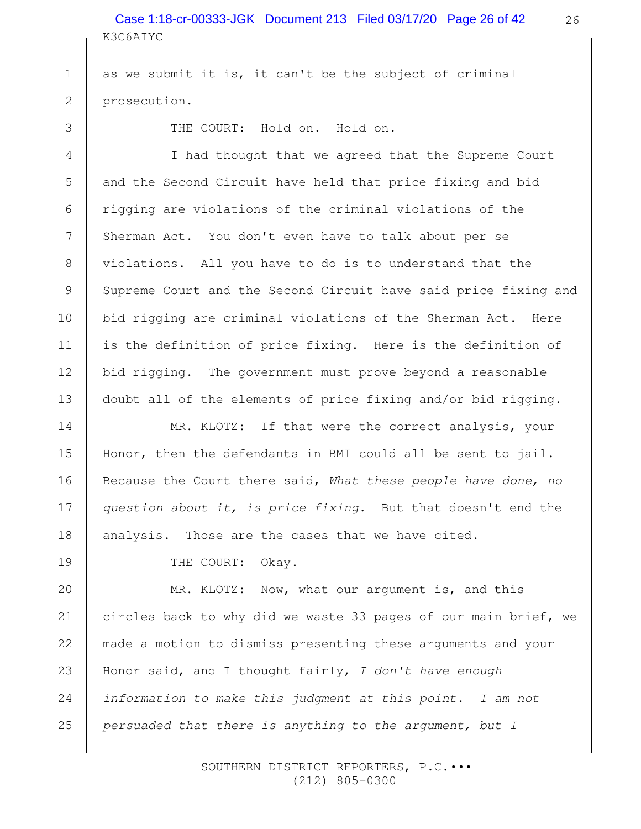K3C6AIYC Case 1:18-cr-00333-JGK Document 213 Filed 03/17/20 Page 26 of 42

as we submit it is, it can't be the subject of criminal prosecution.

3

4

5

6

7

8

9

10

11

12

13

14

15

16

17

18

19

20

21

22

25

1

2

THE COURT: Hold on. Hold on.

I had thought that we agreed that the Supreme Court and the Second Circuit have held that price fixing and bid rigging are violations of the criminal violations of the Sherman Act. You don't even have to talk about per se violations. All you have to do is to understand that the Supreme Court and the Second Circuit have said price fixing and bid rigging are criminal violations of the Sherman Act. Here is the definition of price fixing. Here is the definition of bid rigging. The government must prove beyond a reasonable doubt all of the elements of price fixing and/or bid rigging.

MR. KLOTZ: If that were the correct analysis, your Honor, then the defendants in BMI could all be sent to jail. Because the Court there said, What these people have done, no question about it, is price fixing. But that doesn't end the analysis. Those are the cases that we have cited.

THE COURT: Okay.

MR. KLOTZ: Now, what our argument is, and this circles back to why did we waste 33 pages of our main brief, we made a motion to dismiss presenting these arguments and your Honor said, and I thought fairly,  $I$  don't have enough information to make this judgment at this point. I am not persuaded that there is anything to the argument, but I 23 24

> SOUTHERN DISTRICT REPORTERS, P.C.••• (212) 805-0300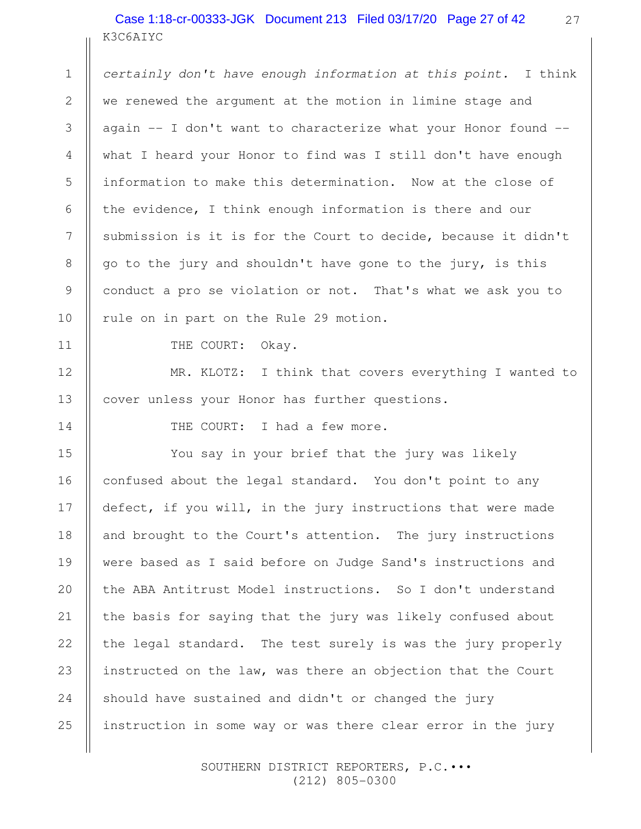K3C6AIYC Case 1:18-cr-00333-JGK Document 213 Filed 03/17/20 Page 27 of 42

certainly don't have enough information at this point. I think we renewed the argument at the motion in limine stage and again -- I don't want to characterize what your Honor found - what I heard your Honor to find was I still don't have enough information to make this determination. Now at the close of the evidence, I think enough information is there and our submission is it is for the Court to decide, because it didn't go to the jury and shouldn't have gone to the jury, is this conduct a pro se violation or not. That's what we ask you to rule on in part on the Rule 29 motion.

THE COURT: Okay.

1

2

3

4

5

6

7

8

9

10

11

12

13

14

MR. KLOTZ: I think that covers everything I wanted to cover unless your Honor has further questions.

THE COURT: I had a few more.

You say in your brief that the jury was likely confused about the legal standard. You don't point to any defect, if you will, in the jury instructions that were made and brought to the Court's attention. The jury instructions were based as I said before on Judge Sand's instructions and the ABA Antitrust Model instructions. So I don't understand the basis for saying that the jury was likely confused about the legal standard. The test surely is was the jury properly instructed on the law, was there an objection that the Court should have sustained and didn't or changed the jury instruction in some way or was there clear error in the jury 15 16 17 18 19 20 21 22 23 24 25

> SOUTHERN DISTRICT REPORTERS, P.C.••• (212) 805-0300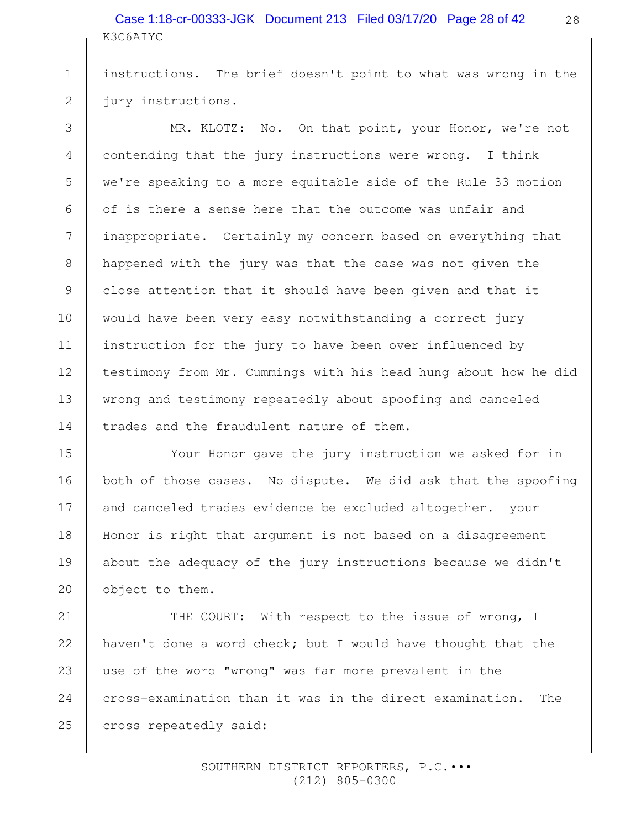K3C6AIYC Case 1:18-cr-00333-JGK Document 213 Filed 03/17/20 Page 28 of 42

instructions. The brief doesn't point to what was wrong in the jury instructions.

MR. KLOTZ: No. On that point, your Honor, we're not contending that the jury instructions were wrong. I think we're speaking to a more equitable side of the Rule 33 motion of is there a sense here that the outcome was unfair and inappropriate. Certainly my concern based on everything that happened with the jury was that the case was not given the close attention that it should have been given and that it would have been very easy notwithstanding a correct jury instruction for the jury to have been over influenced by testimony from Mr. Cummings with his head hung about how he did wrong and testimony repeatedly about spoofing and canceled trades and the fraudulent nature of them.

Your Honor gave the jury instruction we asked for in both of those cases. No dispute. We did ask that the spoofing and canceled trades evidence be excluded altogether. your Honor is right that argument is not based on a disagreement about the adequacy of the jury instructions because we didn't object to them.

THE COURT: With respect to the issue of wrong, I haven't done a word check; but I would have thought that the use of the word "wrong" was far more prevalent in the cross-examination than it was in the direct examination. The cross repeatedly said: 21 22 23 24 25

> SOUTHERN DISTRICT REPORTERS, P.C.••• (212) 805-0300

1

2

3

4

5

6

7

8

9

10

11

12

13

14

15

16

17

18

19

20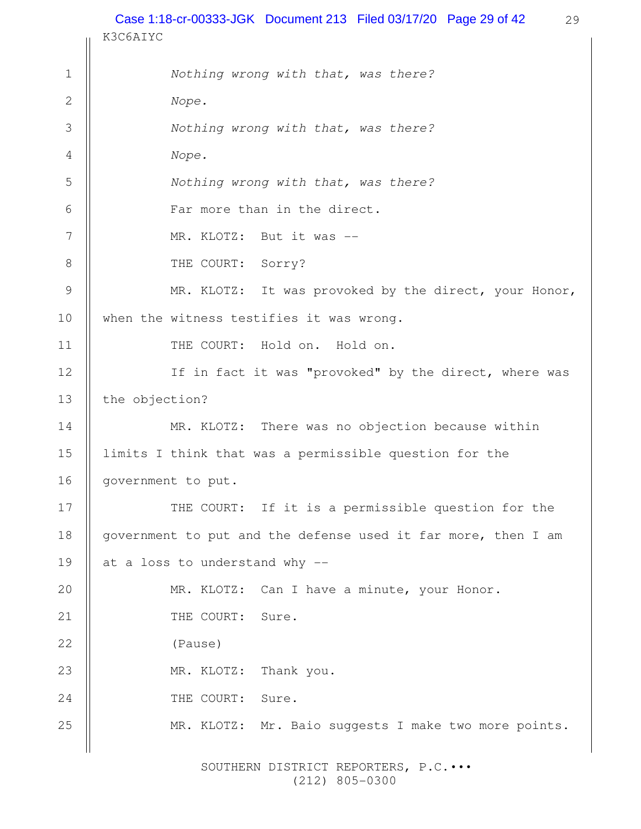29 K3C6AIYC Nothing wrong with that, was there? Nope. Nothing wrong with that, was there? Nope. Nothing wrong with that, was there? Far more than in the direct. MR. KLOTZ: But it was --THE COURT: Sorry? MR. KLOTZ: It was provoked by the direct, your Honor, when the witness testifies it was wrong. THE COURT: Hold on. Hold on. If in fact it was "provoked" by the direct, where was the objection? MR. KLOTZ: There was no objection because within limits I think that was a permissible question for the government to put. THE COURT: If it is a permissible question for the government to put and the defense used it far more, then I am at a loss to understand why -- MR. KLOTZ: Can I have a minute, your Honor. THE COURT: Sure. (Pause) MR. KLOTZ: Thank you. THE COURT: Sure. MR. KLOTZ: Mr. Baio suggests I make two more points. 1 2 3 4 5 6 7 8 9 10 11 12 13 14 15 16 17 18 19 20 21 22 23 24 25 Case 1:18-cr-00333-JGK Document 213 Filed 03/17/20 Page 29 of 42

> SOUTHERN DISTRICT REPORTERS, P.C.••• (212) 805-0300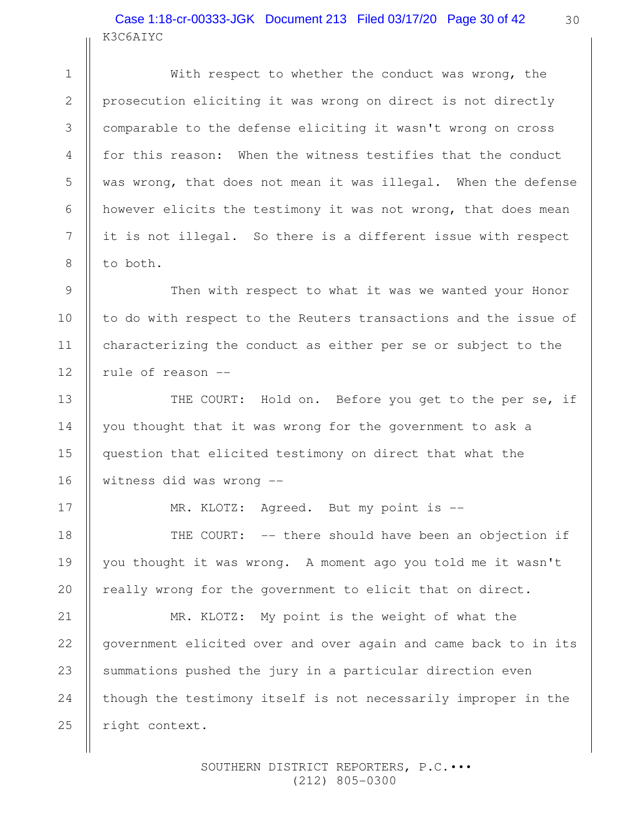# K3C6AIYC Case 1:18-cr-00333-JGK Document 213 Filed 03/17/20 Page 30 of 42

With respect to whether the conduct was wrong, the prosecution eliciting it was wrong on direct is not directly comparable to the defense eliciting it wasn't wrong on cross for this reason: When the witness testifies that the conduct was wrong, that does not mean it was illegal. When the defense however elicits the testimony it was not wrong, that does mean it is not illegal. So there is a different issue with respect to both.

Then with respect to what it was we wanted your Honor to do with respect to the Reuters transactions and the issue of characterizing the conduct as either per se or subject to the rule of reason --

THE COURT: Hold on. Before you get to the per se, if you thought that it was wrong for the government to ask a question that elicited testimony on direct that what the witness did was wrong --

MR. KLOTZ: Agreed. But my point is --

THE COURT: -- there should have been an objection if you thought it was wrong. A moment ago you told me it wasn't really wrong for the government to elicit that on direct.

MR. KLOTZ: My point is the weight of what the government elicited over and over again and came back to in its summations pushed the jury in a particular direction even though the testimony itself is not necessarily improper in the right context. 24 25

> SOUTHERN DISTRICT REPORTERS, P.C.••• (212) 805-0300

1

2

3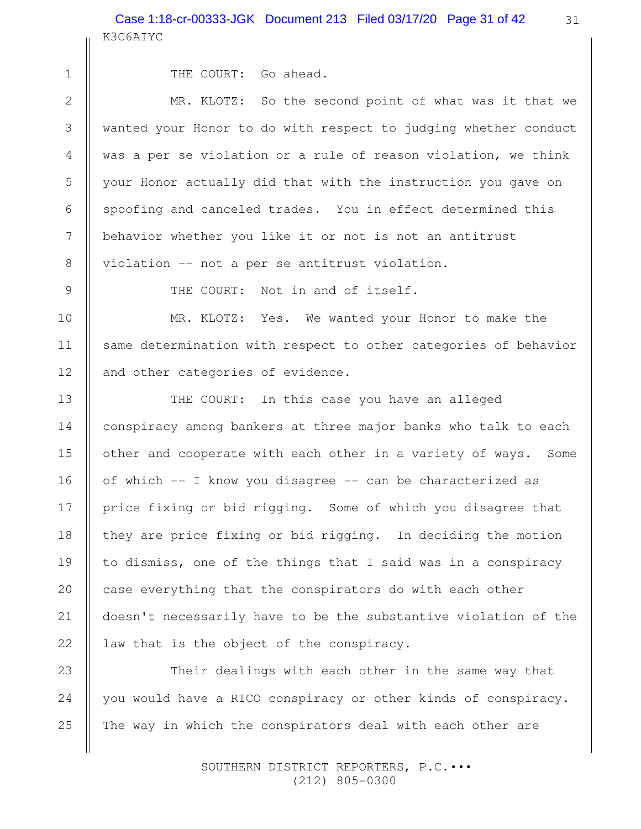```
 2
3
```
4

5

6

7

8

9

10

11

12

13

14

15

16

17

18

19

20

21

22

1

THE COURT: Go ahead.

MR. KLOTZ: So the second point of what was it that we wanted your Honor to do with respect to judging whether conduct was a per se violation or a rule of reason violation, we think your Honor actually did that with the instruction you gave on spoofing and canceled trades. You in effect determined this behavior whether you like it or not is not an antitrust violation -- not a per se antitrust violation.

THE COURT: Not in and of itself.

MR. KLOTZ: Yes. We wanted your Honor to make the same determination with respect to other categories of behavior and other categories of evidence.

THE COURT: In this case you have an alleged conspiracy among bankers at three major banks who talk to each other and cooperate with each other in a variety of ways. Some of which -- I know you disagree -- can be characterized as price fixing or bid rigging. Some of which you disagree that they are price fixing or bid rigging. In deciding the motion to dismiss, one of the things that I said was in a conspiracy case everything that the conspirators do with each other doesn't necessarily have to be the substantive violation of the law that is the object of the conspiracy.

Their dealings with each other in the same way that you would have a RICO conspiracy or other kinds of conspiracy. The way in which the conspirators deal with each other are 23 24 25

> SOUTHERN DISTRICT REPORTERS, P.C.••• (212) 805-0300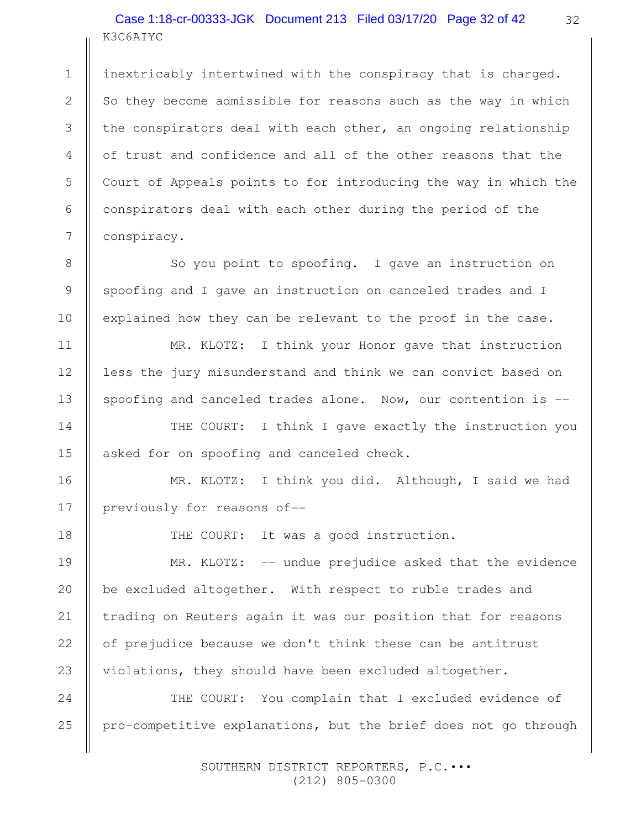# K3C6AIYC Case 1:18-cr-00333-JGK Document 213 Filed 03/17/20 Page 32 of 42

inextricably intertwined with the conspiracy that is charged. So they become admissible for reasons such as the way in which the conspirators deal with each other, an ongoing relationship of trust and confidence and all of the other reasons that the Court of Appeals points to for introducing the way in which the conspirators deal with each other during the period of the conspiracy.

So you point to spoofing. I gave an instruction on spoofing and I gave an instruction on canceled trades and I explained how they can be relevant to the proof in the case.

MR. KLOTZ: I think your Honor gave that instruction less the jury misunderstand and think we can convict based on spoofing and canceled trades alone. Now, our contention is --

THE COURT: I think I gave exactly the instruction you asked for on spoofing and canceled check.

MR. KLOTZ: I think you did. Although, I said we had previously for reasons of--

18

1

2

3

4

5

6

7

8

9

10

11

12

13

14

15

16

17

THE COURT: It was a good instruction.

MR. KLOTZ: -- undue prejudice asked that the evidence be excluded altogether. With respect to ruble trades and trading on Reuters again it was our position that for reasons of prejudice because we don't think these can be antitrust violations, they should have been excluded altogether. 19 20 21 22 23

THE COURT: You complain that I excluded evidence of pro-competitive explanations, but the brief does not go through 24 25

> SOUTHERN DISTRICT REPORTERS, P.C.••• (212) 805-0300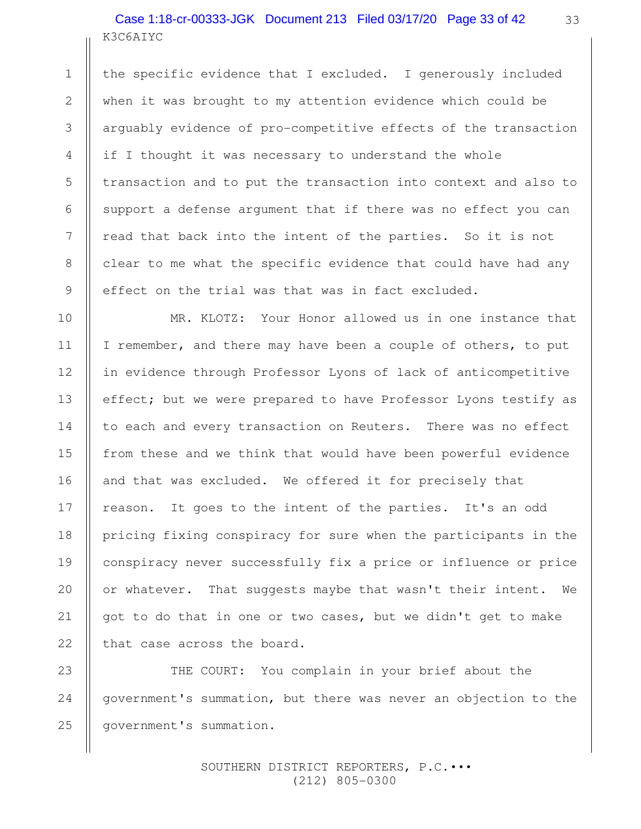# K3C6AIYC Case 1:18-cr-00333-JGK Document 213 Filed 03/17/20 Page 33 of 42

the specific evidence that I excluded. I generously included when it was brought to my attention evidence which could be arguably evidence of pro-competitive effects of the transaction if I thought it was necessary to understand the whole transaction and to put the transaction into context and also to support a defense argument that if there was no effect you can read that back into the intent of the parties. So it is not clear to me what the specific evidence that could have had any effect on the trial was that was in fact excluded.

MR. KLOTZ: Your Honor allowed us in one instance that I remember, and there may have been a couple of others, to put in evidence through Professor Lyons of lack of anticompetitive effect; but we were prepared to have Professor Lyons testify as to each and every transaction on Reuters. There was no effect from these and we think that would have been powerful evidence and that was excluded. We offered it for precisely that reason. It goes to the intent of the parties. It's an odd pricing fixing conspiracy for sure when the participants in the conspiracy never successfully fix a price or influence or price or whatever. That suggests maybe that wasn't their intent. We got to do that in one or two cases, but we didn't get to make that case across the board.

THE COURT: You complain in your brief about the government's summation, but there was never an objection to the government's summation. 23 24 25

> SOUTHERN DISTRICT REPORTERS, P.C.••• (212) 805-0300

1

2

3

4

5

6

7

8

9

10

11

12

13

14

15

16

17

18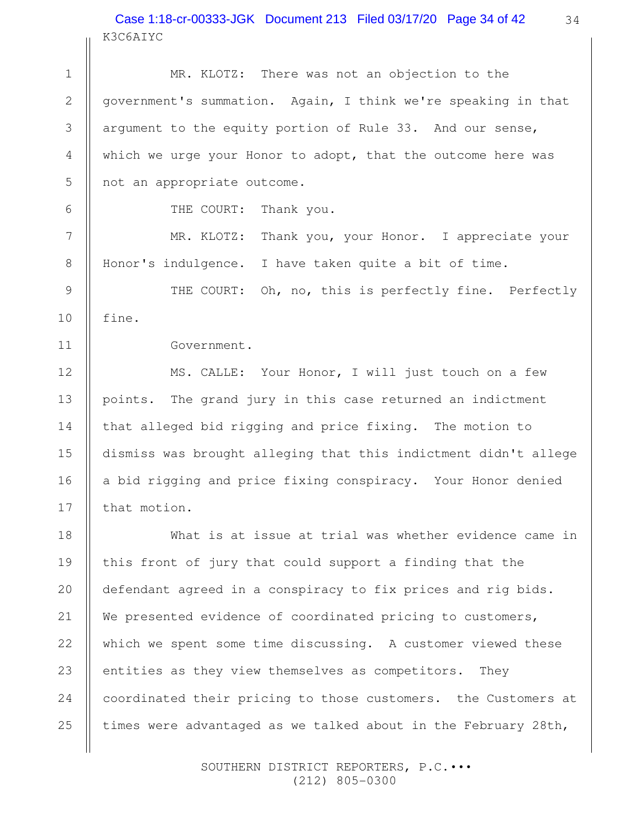### K3C6AIYC Case 1:18-cr-00333-JGK Document 213 Filed 03/17/20 Page 34 of 42

MR. KLOTZ: There was not an objection to the government's summation. Again, I think we're speaking in that argument to the equity portion of Rule 33. And our sense, which we urge your Honor to adopt, that the outcome here was not an appropriate outcome. THE COURT: Thank you. MR. KLOTZ: Thank you, your Honor. I appreciate your Honor's indulgence. I have taken quite a bit of time. THE COURT: Oh, no, this is perfectly fine. Perfectly fine. Government. MS. CALLE: Your Honor, I will just touch on a few points. The grand jury in this case returned an indictment that alleged bid rigging and price fixing. The motion to dismiss was brought alleging that this indictment didn't allege a bid rigging and price fixing conspiracy. Your Honor denied that motion. What is at issue at trial was whether evidence came in this front of jury that could support a finding that the defendant agreed in a conspiracy to fix prices and rig bids. We presented evidence of coordinated pricing to customers, which we spent some time discussing. A customer viewed these entities as they view themselves as competitors. They coordinated their pricing to those customers. the Customers at times were advantaged as we talked about in the February 28th, 1 2 3 4 5 6 7 8 9 10 11 12 13 14 15 16 17 18 19 20 21 22 23 24 25

> SOUTHERN DISTRICT REPORTERS, P.C.••• (212) 805-0300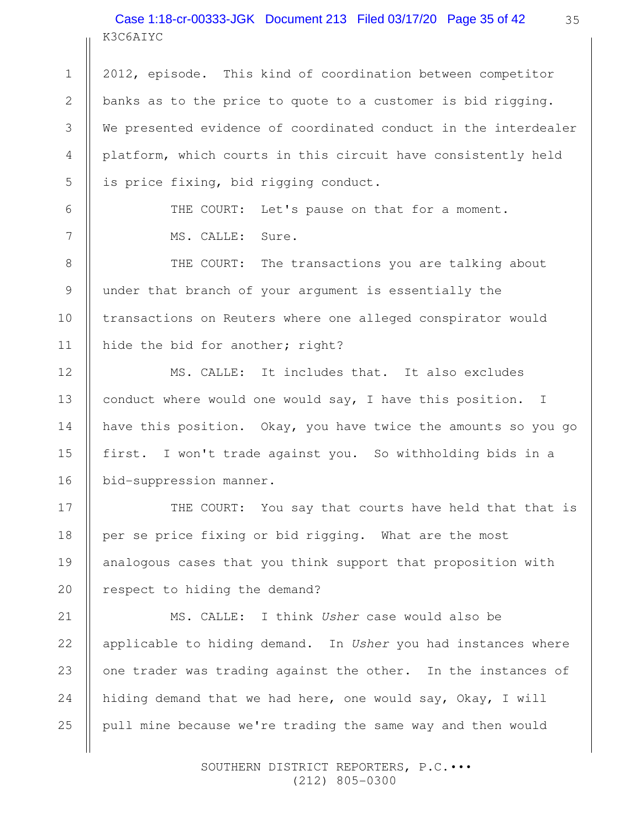# K3C6AIYC Case 1:18-cr-00333-JGK Document 213 Filed 03/17/20 Page 35 of 42

1

2

3

4

5

6

7

8

9

10

11

12

13

14

15

16

17

18

19

20

2012, episode. This kind of coordination between competitor banks as to the price to quote to a customer is bid rigging. We presented evidence of coordinated conduct in the interdealer platform, which courts in this circuit have consistently held is price fixing, bid rigging conduct.

> THE COURT: Let's pause on that for a moment. MS. CALLE: Sure.

THE COURT: The transactions you are talking about under that branch of your argument is essentially the transactions on Reuters where one alleged conspirator would hide the bid for another; right?

MS. CALLE: It includes that. It also excludes conduct where would one would say, I have this position. I have this position. Okay, you have twice the amounts so you go first. I won't trade against you. So withholding bids in a bid-suppression manner.

THE COURT: You say that courts have held that that is per se price fixing or bid rigging. What are the most analogous cases that you think support that proposition with respect to hiding the demand?

MS. CALLE: I think Usher case would also be applicable to hiding demand. In Usher you had instances where one trader was trading against the other. In the instances of hiding demand that we had here, one would say, Okay, I will pull mine because we're trading the same way and then would 21 22 23 24 25

> SOUTHERN DISTRICT REPORTERS, P.C.••• (212) 805-0300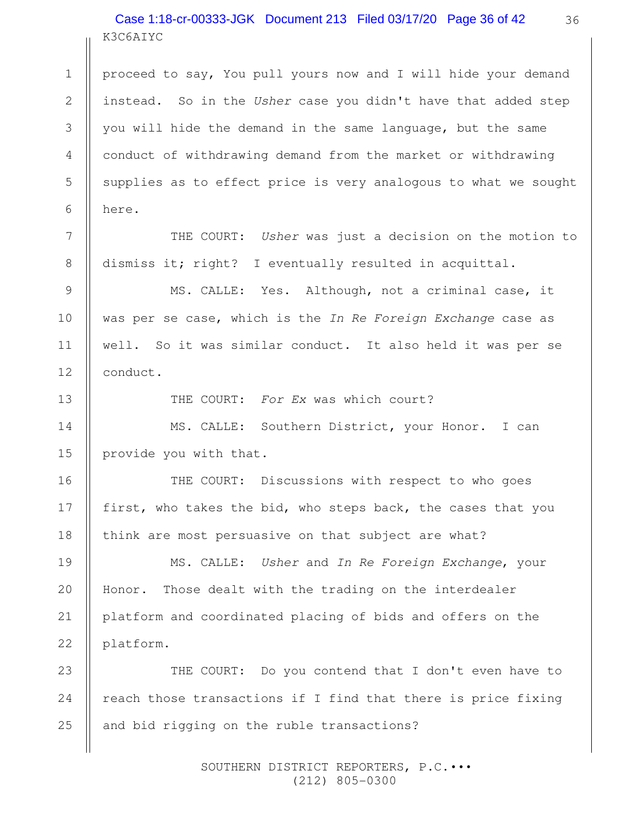# K3C6AIYC Case 1:18-cr-00333-JGK Document 213 Filed 03/17/20 Page 36 of 42

proceed to say, You pull yours now and I will hide your demand instead. So in the Usher case you didn't have that added step you will hide the demand in the same language, but the same conduct of withdrawing demand from the market or withdrawing supplies as to effect price is very analogous to what we sought here. 1 2 3 4 5 6

THE COURT: Usher was just a decision on the motion to dismiss it; right? I eventually resulted in acquittal.

MS. CALLE: Yes. Although, not a criminal case, it was per se case, which is the In Re Foreign Exchange case as well. So it was similar conduct. It also held it was per se conduct.

13

16

17

18

19

20

21

22

7

8

9

10

11

12

THE COURT: For Ex was which court?

MS. CALLE: Southern District, your Honor. I can provide you with that. 14 15

THE COURT: Discussions with respect to who goes first, who takes the bid, who steps back, the cases that you think are most persuasive on that subject are what?

MS. CALLE: Usher and In Re Foreign Exchange, your Honor. Those dealt with the trading on the interdealer platform and coordinated placing of bids and offers on the platform.

THE COURT: Do you contend that I don't even have to reach those transactions if I find that there is price fixing and bid rigging on the ruble transactions? 23 24 25

> SOUTHERN DISTRICT REPORTERS, P.C.••• (212) 805-0300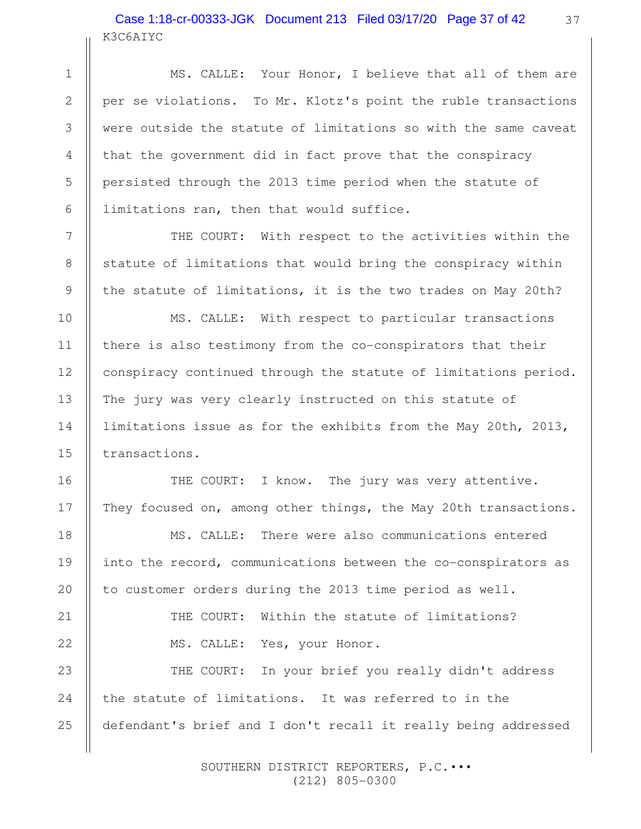# K3C6AIYC Case 1:18-cr-00333-JGK Document 213 Filed 03/17/20 Page 37 of 42

1

2

3

4

5

6

7

8

9

10

11

12

13

14

15

16

17

18

19

20

21

22

MS. CALLE: Your Honor, I believe that all of them are per se violations. To Mr. Klotz's point the ruble transactions were outside the statute of limitations so with the same caveat that the government did in fact prove that the conspiracy persisted through the 2013 time period when the statute of limitations ran, then that would suffice.

THE COURT: With respect to the activities within the statute of limitations that would bring the conspiracy within the statute of limitations, it is the two trades on May 20th?

MS. CALLE: With respect to particular transactions there is also testimony from the co-conspirators that their conspiracy continued through the statute of limitations period. The jury was very clearly instructed on this statute of limitations issue as for the exhibits from the May 20th, 2013, transactions.

THE COURT: I know. The jury was very attentive. They focused on, among other things, the May 20th transactions.

MS. CALLE: There were also communications entered into the record, communications between the co-conspirators as to customer orders during the 2013 time period as well.

> THE COURT: Within the statute of limitations? MS. CALLE: Yes, your Honor.

THE COURT: In your brief you really didn't address the statute of limitations. It was referred to in the defendant's brief and I don't recall it really being addressed 23 24 25

> SOUTHERN DISTRICT REPORTERS, P.C.••• (212) 805-0300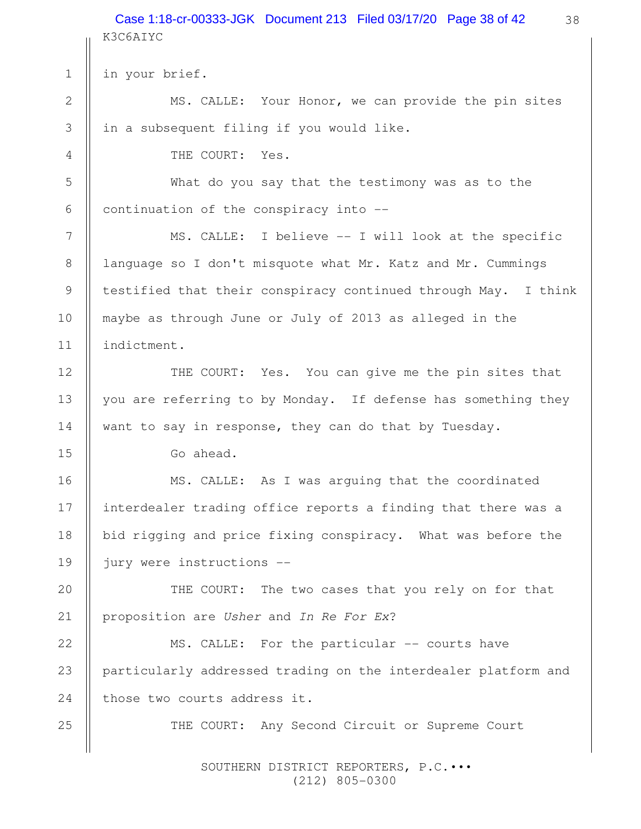38 K3C6AIYC in your brief. MS. CALLE: Your Honor, we can provide the pin sites in a subsequent filing if you would like. THE COURT: Yes. What do you say that the testimony was as to the continuation of the conspiracy into -- MS. CALLE: I believe -- I will look at the specific language so I don't misquote what Mr. Katz and Mr. Cummings testified that their conspiracy continued through May. I think maybe as through June or July of 2013 as alleged in the indictment. THE COURT: Yes. You can give me the pin sites that you are referring to by Monday. If defense has something they want to say in response, they can do that by Tuesday. Go ahead. MS. CALLE: As I was arguing that the coordinated interdealer trading office reports a finding that there was a bid rigging and price fixing conspiracy. What was before the jury were instructions -- THE COURT: The two cases that you rely on for that proposition are Usher and In Re For Ex? MS. CALLE: For the particular -- courts have particularly addressed trading on the interdealer platform and those two courts address it. THE COURT: Any Second Circuit or Supreme Court 1 2 3 4 5 6 7 8 9 10 11 12 13 14 15 16 17 18 19 20 21 22 23 24 25 Case 1:18-cr-00333-JGK Document 213 Filed 03/17/20 Page 38 of 42

 SOUTHERN DISTRICT REPORTERS, P.C.••• (212) 805-0300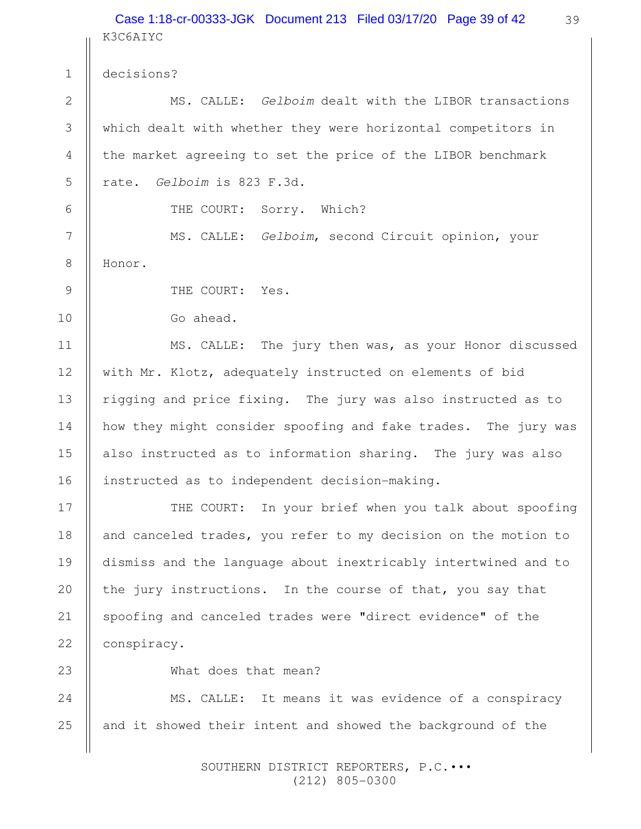#### K3C6AIYC Case 1:18-cr-00333-JGK Document 213 Filed 03/17/20 Page 39 of 42

decisions?

1

2

3

4

5

6

7

8

9

10

11

12

13

14

15

16

17

18

19

20

21

22

MS. CALLE: Gelboim dealt with the LIBOR transactions which dealt with whether they were horizontal competitors in the market agreeing to set the price of the LIBOR benchmark rate. Gelboim is 823 F.3d.

THE COURT: Sorry. Which?

MS. CALLE: Gelboim, second Circuit opinion, your Honor.

THE COURT: Yes.

Go ahead.

MS. CALLE: The jury then was, as your Honor discussed with Mr. Klotz, adequately instructed on elements of bid rigging and price fixing. The jury was also instructed as to how they might consider spoofing and fake trades. The jury was also instructed as to information sharing. The jury was also instructed as to independent decision-making.

THE COURT: In your brief when you talk about spoofing and canceled trades, you refer to my decision on the motion to dismiss and the language about inextricably intertwined and to the jury instructions. In the course of that, you say that spoofing and canceled trades were "direct evidence" of the conspiracy.

23

What does that mean?

MS. CALLE: It means it was evidence of a conspiracy and it showed their intent and showed the background of the 24 25

> SOUTHERN DISTRICT REPORTERS, P.C.••• (212) 805-0300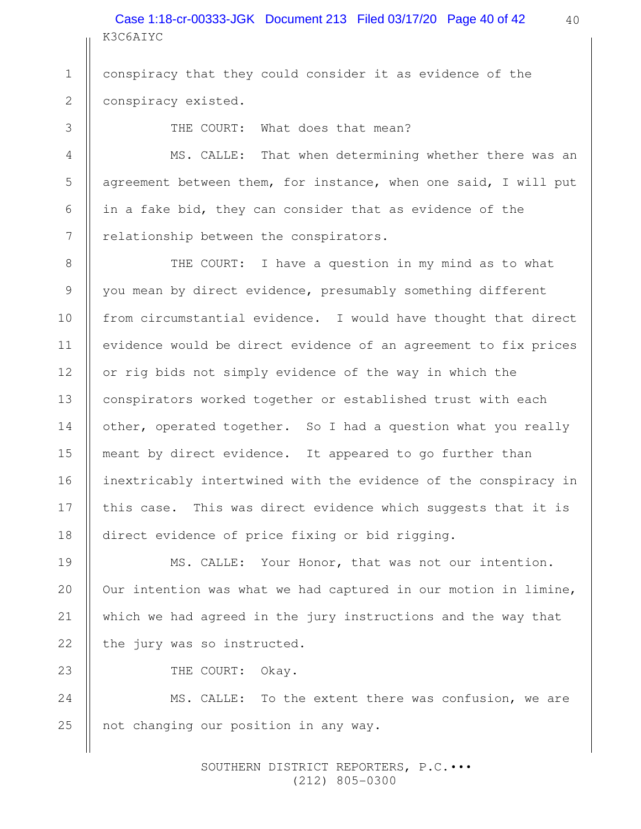K3C6AIYC Case 1:18-cr-00333-JGK Document 213 Filed 03/17/20 Page 40 of 42 40

conspiracy that they could consider it as evidence of the conspiracy existed. 1 2

THE COURT: What does that mean?

3

4

5

6

7

8

9

10

11

12

13

14

15

16

17

18

19

20

21

22

23

MS. CALLE: That when determining whether there was an agreement between them, for instance, when one said, I will put in a fake bid, they can consider that as evidence of the relationship between the conspirators.

THE COURT: I have a question in my mind as to what you mean by direct evidence, presumably something different from circumstantial evidence. I would have thought that direct evidence would be direct evidence of an agreement to fix prices or rig bids not simply evidence of the way in which the conspirators worked together or established trust with each other, operated together. So I had a question what you really meant by direct evidence. It appeared to go further than inextricably intertwined with the evidence of the conspiracy in this case. This was direct evidence which suggests that it is direct evidence of price fixing or bid rigging.

MS. CALLE: Your Honor, that was not our intention. Our intention was what we had captured in our motion in limine, which we had agreed in the jury instructions and the way that the jury was so instructed.

THE COURT: Okay.

MS. CALLE: To the extent there was confusion, we are not changing our position in any way. 24 25

> SOUTHERN DISTRICT REPORTERS, P.C.••• (212) 805-0300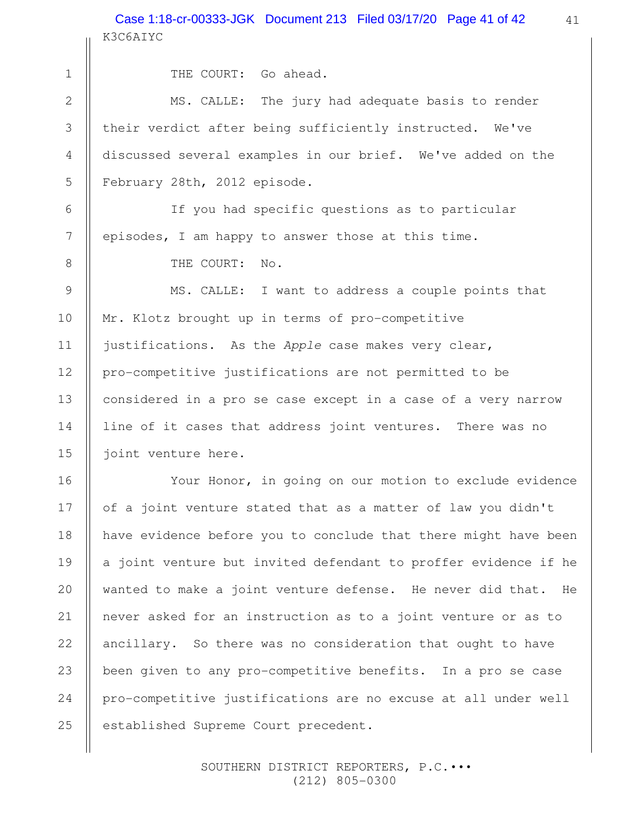24

25

THE COURT: Go ahead.

MS. CALLE: The jury had adequate basis to render their verdict after being sufficiently instructed. We've discussed several examples in our brief. We've added on the February 28th, 2012 episode.

If you had specific questions as to particular episodes, I am happy to answer those at this time.

THE COURT: No.

MS. CALLE: I want to address a couple points that Mr. Klotz brought up in terms of pro-competitive justifications. As the Apple case makes very clear, pro-competitive justifications are not permitted to be considered in a pro se case except in a case of a very narrow line of it cases that address joint ventures. There was no joint venture here.

Your Honor, in going on our motion to exclude evidence of a joint venture stated that as a matter of law you didn't have evidence before you to conclude that there might have been a joint venture but invited defendant to proffer evidence if he wanted to make a joint venture defense. He never did that. He never asked for an instruction as to a joint venture or as to ancillary. So there was no consideration that ought to have been given to any pro-competitive benefits. In a pro se case pro-competitive justifications are no excuse at all under well established Supreme Court precedent.

> SOUTHERN DISTRICT REPORTERS, P.C.••• (212) 805-0300